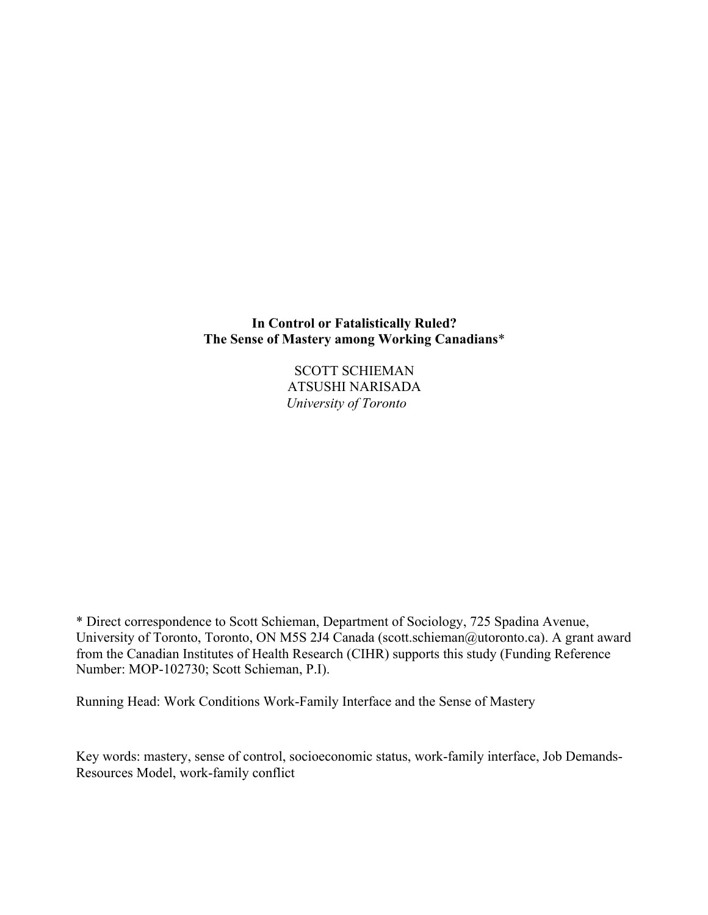**In Control or Fatalistically Ruled? The Sense of Mastery among Working Canadians**\*

> SCOTT SCHIEMAN ATSUSHI NARISADA *University of Toronto*

\* Direct correspondence to Scott Schieman, Department of Sociology, 725 Spadina Avenue, University of Toronto, Toronto, ON M5S 2J4 Canada (scott.schieman@utoronto.ca). A grant award from the Canadian Institutes of Health Research (CIHR) supports this study (Funding Reference Number: MOP-102730; Scott Schieman, P.I).

Running Head: Work Conditions Work-Family Interface and the Sense of Mastery

Key words: mastery, sense of control, socioeconomic status, work-family interface, Job Demands-Resources Model, work-family conflict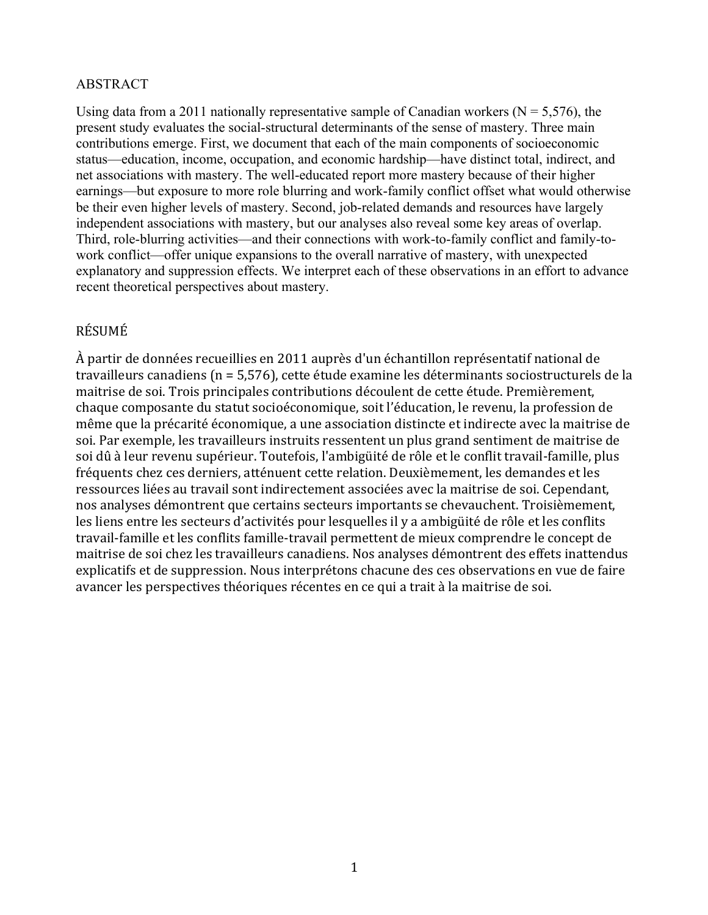# ABSTRACT

Using data from a 2011 nationally representative sample of Canadian workers ( $N = 5,576$ ), the present study evaluates the social-structural determinants of the sense of mastery. Three main contributions emerge. First, we document that each of the main components of socioeconomic status—education, income, occupation, and economic hardship—have distinct total, indirect, and net associations with mastery. The well-educated report more mastery because of their higher earnings—but exposure to more role blurring and work-family conflict offset what would otherwise be their even higher levels of mastery. Second, job-related demands and resources have largely independent associations with mastery, but our analyses also reveal some key areas of overlap. Third, role-blurring activities—and their connections with work-to-family conflict and family-towork conflict—offer unique expansions to the overall narrative of mastery, with unexpected explanatory and suppression effects. We interpret each of these observations in an effort to advance recent theoretical perspectives about mastery.

# RÉSUMÉ

À partir de données recueillies en 2011 auprès d'un échantillon représentatif national de travailleurs canadiens ( $n = 5,576$ ), cette étude examine les déterminants sociostructurels de la maitrise de soi. Trois principales contributions découlent de cette étude. Premièrement, chaque composante du statut socioéconomique, soit l'éducation, le revenu, la profession de même que la précarité économique, a une association distincte et indirecte avec la maitrise de soi. Par exemple, les travailleurs instruits ressentent un plus grand sentiment de maitrise de soi dû à leur revenu supérieur. Toutefois, l'ambigüité de rôle et le conflit travail-famille, plus fréquents chez ces derniers, atténuent cette relation. Deuxièmement, les demandes et les ressources liées au travail sont indirectement associées avec la maitrise de soi. Cependant, nos analyses démontrent que certains secteurs importants se chevauchent. Troisièmement, les liens entre les secteurs d'activités pour lesquelles il y a ambigüité de rôle et les conflits travail-famille et les conflits famille-travail permettent de mieux comprendre le concept de maitrise de soi chez les travailleurs canadiens. Nos analyses démontrent des effets inattendus explicatifs et de suppression. Nous interprétons chacune des ces observations en vue de faire avancer les perspectives théoriques récentes en ce qui a trait à la maitrise de soi.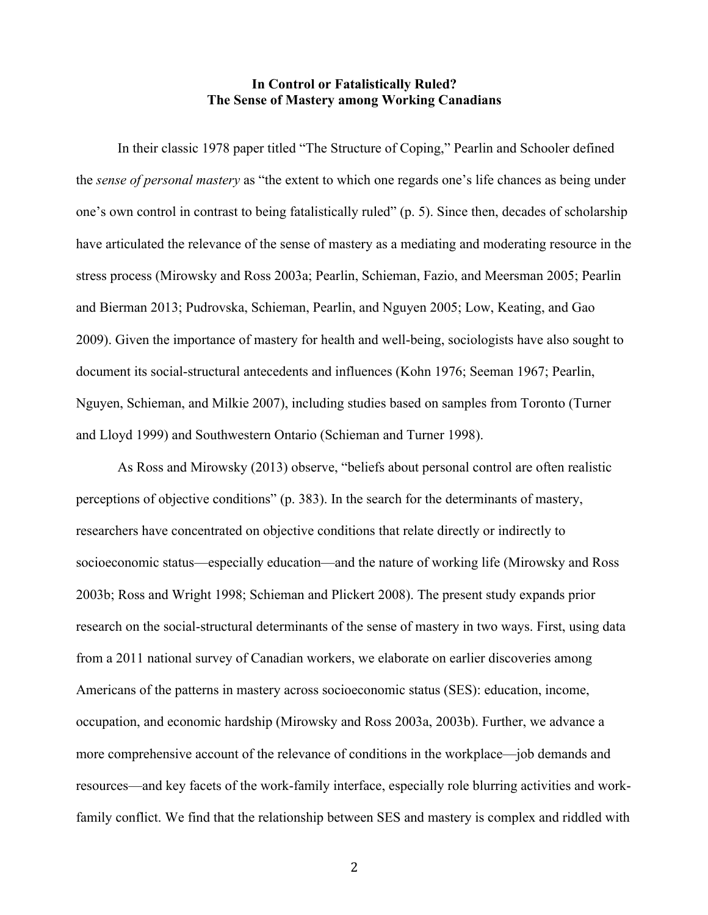# **In Control or Fatalistically Ruled? The Sense of Mastery among Working Canadians**

In their classic 1978 paper titled "The Structure of Coping," Pearlin and Schooler defined the *sense of personal mastery* as "the extent to which one regards one's life chances as being under one's own control in contrast to being fatalistically ruled" (p. 5). Since then, decades of scholarship have articulated the relevance of the sense of mastery as a mediating and moderating resource in the stress process (Mirowsky and Ross 2003a; Pearlin, Schieman, Fazio, and Meersman 2005; Pearlin and Bierman 2013; Pudrovska, Schieman, Pearlin, and Nguyen 2005; Low, Keating, and Gao 2009). Given the importance of mastery for health and well-being, sociologists have also sought to document its social-structural antecedents and influences (Kohn 1976; Seeman 1967; Pearlin, Nguyen, Schieman, and Milkie 2007), including studies based on samples from Toronto (Turner and Lloyd 1999) and Southwestern Ontario (Schieman and Turner 1998).

As Ross and Mirowsky (2013) observe, "beliefs about personal control are often realistic perceptions of objective conditions" (p. 383). In the search for the determinants of mastery, researchers have concentrated on objective conditions that relate directly or indirectly to socioeconomic status—especially education—and the nature of working life (Mirowsky and Ross 2003b; Ross and Wright 1998; Schieman and Plickert 2008). The present study expands prior research on the social-structural determinants of the sense of mastery in two ways. First, using data from a 2011 national survey of Canadian workers, we elaborate on earlier discoveries among Americans of the patterns in mastery across socioeconomic status (SES): education, income, occupation, and economic hardship (Mirowsky and Ross 2003a, 2003b). Further, we advance a more comprehensive account of the relevance of conditions in the workplace—job demands and resources—and key facets of the work-family interface, especially role blurring activities and workfamily conflict. We find that the relationship between SES and mastery is complex and riddled with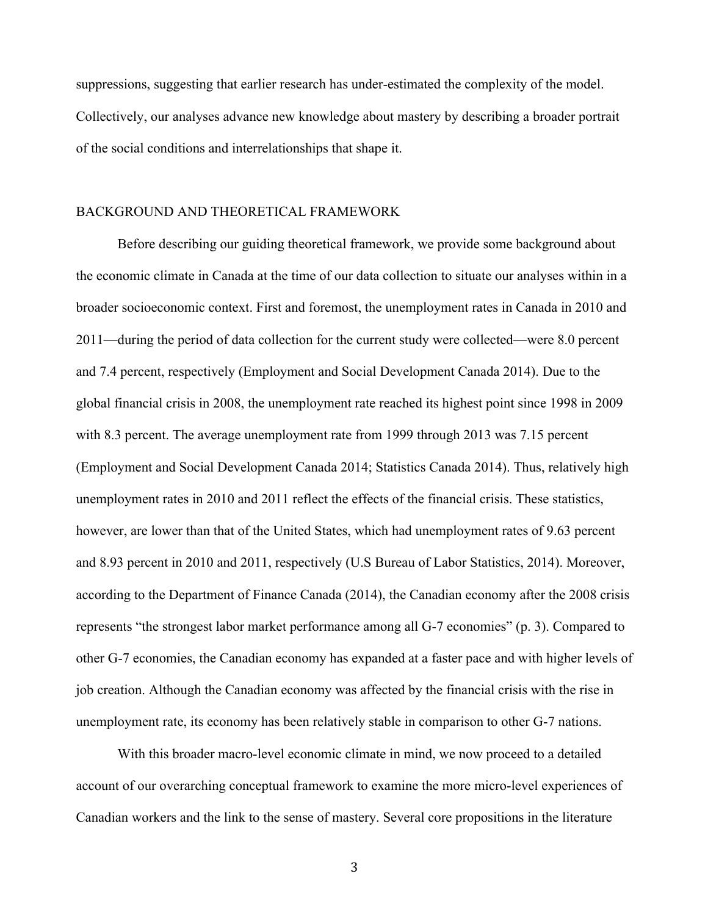suppressions, suggesting that earlier research has under-estimated the complexity of the model. Collectively, our analyses advance new knowledge about mastery by describing a broader portrait of the social conditions and interrelationships that shape it.

#### BACKGROUND AND THEORETICAL FRAMEWORK

Before describing our guiding theoretical framework, we provide some background about the economic climate in Canada at the time of our data collection to situate our analyses within in a broader socioeconomic context. First and foremost, the unemployment rates in Canada in 2010 and 2011—during the period of data collection for the current study were collected—were 8.0 percent and 7.4 percent, respectively (Employment and Social Development Canada 2014). Due to the global financial crisis in 2008, the unemployment rate reached its highest point since 1998 in 2009 with 8.3 percent. The average unemployment rate from 1999 through 2013 was 7.15 percent (Employment and Social Development Canada 2014; Statistics Canada 2014). Thus, relatively high unemployment rates in 2010 and 2011 reflect the effects of the financial crisis. These statistics, however, are lower than that of the United States, which had unemployment rates of 9.63 percent and 8.93 percent in 2010 and 2011, respectively (U.S Bureau of Labor Statistics, 2014). Moreover, according to the Department of Finance Canada (2014), the Canadian economy after the 2008 crisis represents "the strongest labor market performance among all G-7 economies" (p. 3). Compared to other G-7 economies, the Canadian economy has expanded at a faster pace and with higher levels of job creation. Although the Canadian economy was affected by the financial crisis with the rise in unemployment rate, its economy has been relatively stable in comparison to other G-7 nations.

With this broader macro-level economic climate in mind, we now proceed to a detailed account of our overarching conceptual framework to examine the more micro-level experiences of Canadian workers and the link to the sense of mastery. Several core propositions in the literature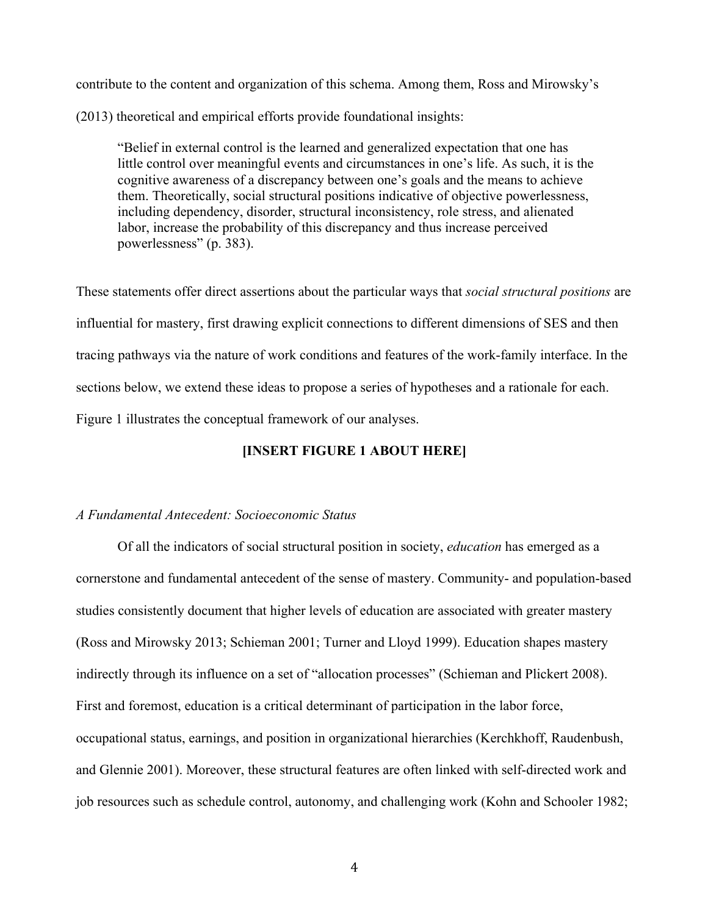contribute to the content and organization of this schema. Among them, Ross and Mirowsky's (2013) theoretical and empirical efforts provide foundational insights:

"Belief in external control is the learned and generalized expectation that one has little control over meaningful events and circumstances in one's life. As such, it is the cognitive awareness of a discrepancy between one's goals and the means to achieve them. Theoretically, social structural positions indicative of objective powerlessness, including dependency, disorder, structural inconsistency, role stress, and alienated labor, increase the probability of this discrepancy and thus increase perceived powerlessness" (p. 383).

These statements offer direct assertions about the particular ways that *social structural positions* are influential for mastery, first drawing explicit connections to different dimensions of SES and then tracing pathways via the nature of work conditions and features of the work-family interface. In the sections below, we extend these ideas to propose a series of hypotheses and a rationale for each. Figure 1 illustrates the conceptual framework of our analyses.

# **[INSERT FIGURE 1 ABOUT HERE]**

# *A Fundamental Antecedent: Socioeconomic Status*

Of all the indicators of social structural position in society, *education* has emerged as a cornerstone and fundamental antecedent of the sense of mastery. Community- and population-based studies consistently document that higher levels of education are associated with greater mastery (Ross and Mirowsky 2013; Schieman 2001; Turner and Lloyd 1999). Education shapes mastery indirectly through its influence on a set of "allocation processes" (Schieman and Plickert 2008). First and foremost, education is a critical determinant of participation in the labor force, occupational status, earnings, and position in organizational hierarchies (Kerchkhoff, Raudenbush, and Glennie 2001). Moreover, these structural features are often linked with self-directed work and job resources such as schedule control, autonomy, and challenging work (Kohn and Schooler 1982;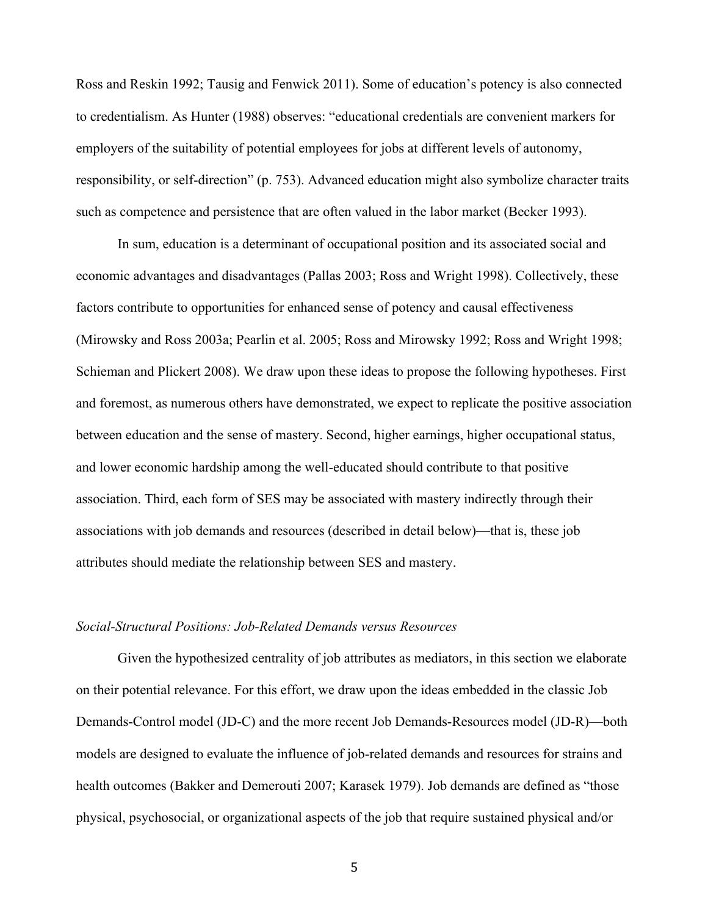Ross and Reskin 1992; Tausig and Fenwick 2011). Some of education's potency is also connected to credentialism. As Hunter (1988) observes: "educational credentials are convenient markers for employers of the suitability of potential employees for jobs at different levels of autonomy, responsibility, or self-direction" (p. 753). Advanced education might also symbolize character traits such as competence and persistence that are often valued in the labor market (Becker 1993).

In sum, education is a determinant of occupational position and its associated social and economic advantages and disadvantages (Pallas 2003; Ross and Wright 1998). Collectively, these factors contribute to opportunities for enhanced sense of potency and causal effectiveness (Mirowsky and Ross 2003a; Pearlin et al. 2005; Ross and Mirowsky 1992; Ross and Wright 1998; Schieman and Plickert 2008). We draw upon these ideas to propose the following hypotheses. First and foremost, as numerous others have demonstrated, we expect to replicate the positive association between education and the sense of mastery. Second, higher earnings, higher occupational status, and lower economic hardship among the well-educated should contribute to that positive association. Third, each form of SES may be associated with mastery indirectly through their associations with job demands and resources (described in detail below)—that is, these job attributes should mediate the relationship between SES and mastery.

## *Social-Structural Positions: Job-Related Demands versus Resources*

Given the hypothesized centrality of job attributes as mediators, in this section we elaborate on their potential relevance. For this effort, we draw upon the ideas embedded in the classic Job Demands-Control model (JD-C) and the more recent Job Demands-Resources model (JD-R)—both models are designed to evaluate the influence of job-related demands and resources for strains and health outcomes (Bakker and Demerouti 2007; Karasek 1979). Job demands are defined as "those physical, psychosocial, or organizational aspects of the job that require sustained physical and/or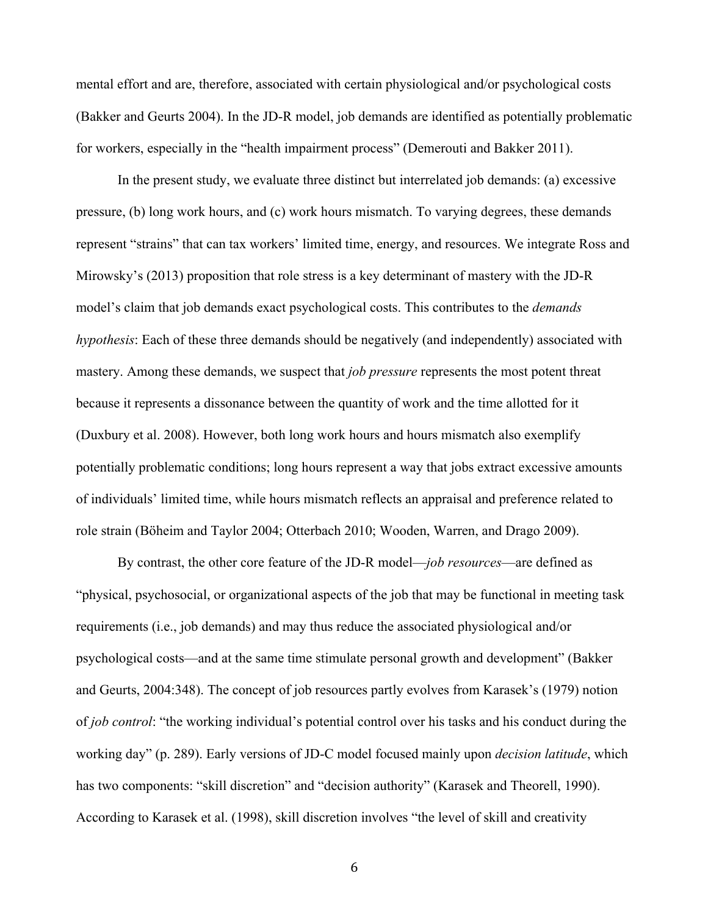mental effort and are, therefore, associated with certain physiological and/or psychological costs (Bakker and Geurts 2004). In the JD-R model, job demands are identified as potentially problematic for workers, especially in the "health impairment process" (Demerouti and Bakker 2011).

In the present study, we evaluate three distinct but interrelated job demands: (a) excessive pressure, (b) long work hours, and (c) work hours mismatch. To varying degrees, these demands represent "strains" that can tax workers' limited time, energy, and resources. We integrate Ross and Mirowsky's (2013) proposition that role stress is a key determinant of mastery with the JD-R model's claim that job demands exact psychological costs. This contributes to the *demands hypothesis*: Each of these three demands should be negatively (and independently) associated with mastery. Among these demands, we suspect that *job pressure* represents the most potent threat because it represents a dissonance between the quantity of work and the time allotted for it (Duxbury et al. 2008). However, both long work hours and hours mismatch also exemplify potentially problematic conditions; long hours represent a way that jobs extract excessive amounts of individuals' limited time, while hours mismatch reflects an appraisal and preference related to role strain (Böheim and Taylor 2004; Otterbach 2010; Wooden, Warren, and Drago 2009).

By contrast, the other core feature of the JD-R model—*job resources*—are defined as "physical, psychosocial, or organizational aspects of the job that may be functional in meeting task requirements (i.e., job demands) and may thus reduce the associated physiological and/or psychological costs—and at the same time stimulate personal growth and development" (Bakker and Geurts, 2004:348). The concept of job resources partly evolves from Karasek's (1979) notion of *job control*: "the working individual's potential control over his tasks and his conduct during the working day" (p. 289). Early versions of JD-C model focused mainly upon *decision latitude*, which has two components: "skill discretion" and "decision authority" (Karasek and Theorell, 1990). According to Karasek et al. (1998), skill discretion involves "the level of skill and creativity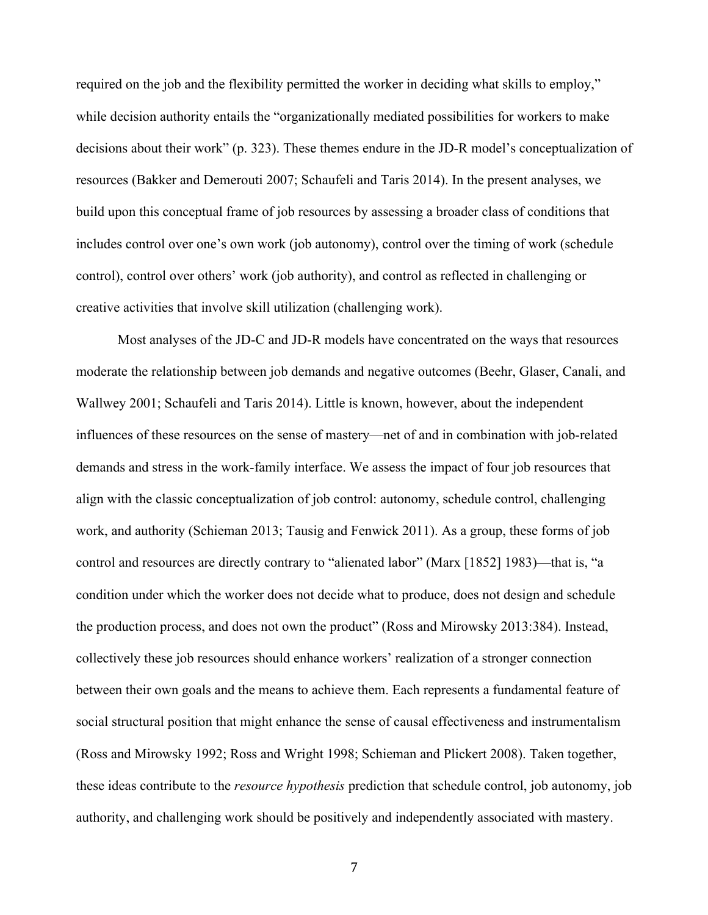required on the job and the flexibility permitted the worker in deciding what skills to employ," while decision authority entails the "organizationally mediated possibilities for workers to make decisions about their work" (p. 323). These themes endure in the JD-R model's conceptualization of resources (Bakker and Demerouti 2007; Schaufeli and Taris 2014). In the present analyses, we build upon this conceptual frame of job resources by assessing a broader class of conditions that includes control over one's own work (job autonomy), control over the timing of work (schedule control), control over others' work (job authority), and control as reflected in challenging or creative activities that involve skill utilization (challenging work).

Most analyses of the JD-C and JD-R models have concentrated on the ways that resources moderate the relationship between job demands and negative outcomes (Beehr, Glaser, Canali, and Wallwey 2001; Schaufeli and Taris 2014). Little is known, however, about the independent influences of these resources on the sense of mastery—net of and in combination with job-related demands and stress in the work-family interface. We assess the impact of four job resources that align with the classic conceptualization of job control: autonomy, schedule control, challenging work, and authority (Schieman 2013; Tausig and Fenwick 2011). As a group, these forms of job control and resources are directly contrary to "alienated labor" (Marx [1852] 1983)—that is, "a condition under which the worker does not decide what to produce, does not design and schedule the production process, and does not own the product" (Ross and Mirowsky 2013:384). Instead, collectively these job resources should enhance workers' realization of a stronger connection between their own goals and the means to achieve them. Each represents a fundamental feature of social structural position that might enhance the sense of causal effectiveness and instrumentalism (Ross and Mirowsky 1992; Ross and Wright 1998; Schieman and Plickert 2008). Taken together, these ideas contribute to the *resource hypothesis* prediction that schedule control, job autonomy, job authority, and challenging work should be positively and independently associated with mastery.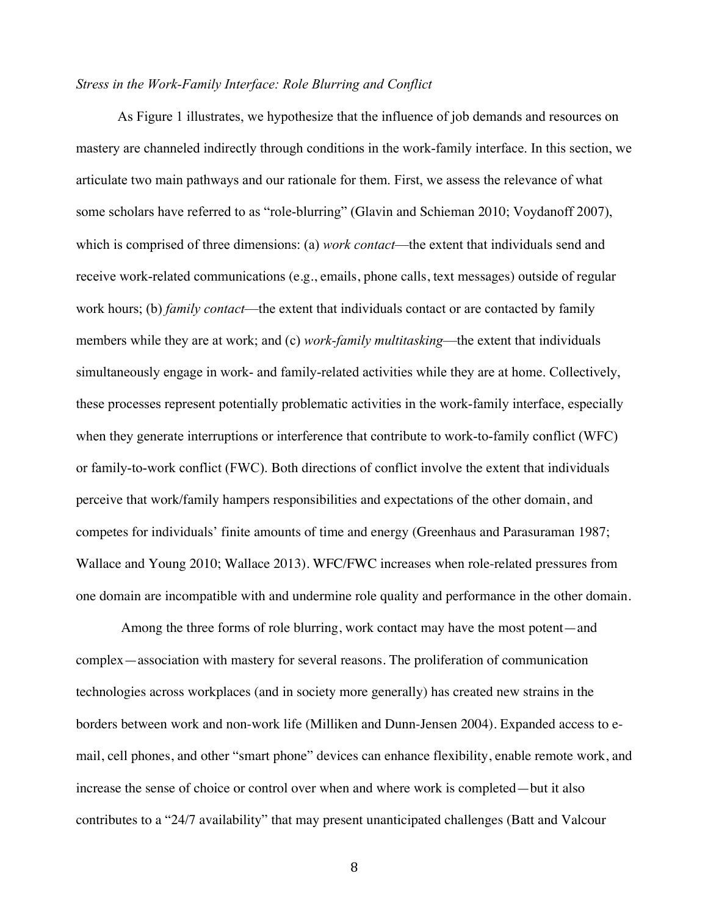#### *Stress in the Work-Family Interface: Role Blurring and Conflict*

As Figure 1 illustrates, we hypothesize that the influence of job demands and resources on mastery are channeled indirectly through conditions in the work-family interface. In this section, we articulate two main pathways and our rationale for them. First, we assess the relevance of what some scholars have referred to as "role-blurring" (Glavin and Schieman 2010; Voydanoff 2007), which is comprised of three dimensions: (a) *work contact*—the extent that individuals send and receive work-related communications (e.g., emails, phone calls, text messages) outside of regular work hours; (b) *family contact*—the extent that individuals contact or are contacted by family members while they are at work; and (c) *work-family multitasking*—the extent that individuals simultaneously engage in work- and family-related activities while they are at home. Collectively, these processes represent potentially problematic activities in the work-family interface, especially when they generate interruptions or interference that contribute to work-to-family conflict (WFC) or family-to-work conflict (FWC). Both directions of conflict involve the extent that individuals perceive that work/family hampers responsibilities and expectations of the other domain, and competes for individuals' finite amounts of time and energy (Greenhaus and Parasuraman 1987; Wallace and Young 2010; Wallace 2013). WFC/FWC increases when role-related pressures from one domain are incompatible with and undermine role quality and performance in the other domain.

Among the three forms of role blurring, work contact may have the most potent—and complex—association with mastery for several reasons. The proliferation of communication technologies across workplaces (and in society more generally) has created new strains in the borders between work and non-work life (Milliken and Dunn-Jensen 2004). Expanded access to email, cell phones, and other "smart phone" devices can enhance flexibility, enable remote work, and increase the sense of choice or control over when and where work is completed—but it also contributes to a "24/7 availability" that may present unanticipated challenges (Batt and Valcour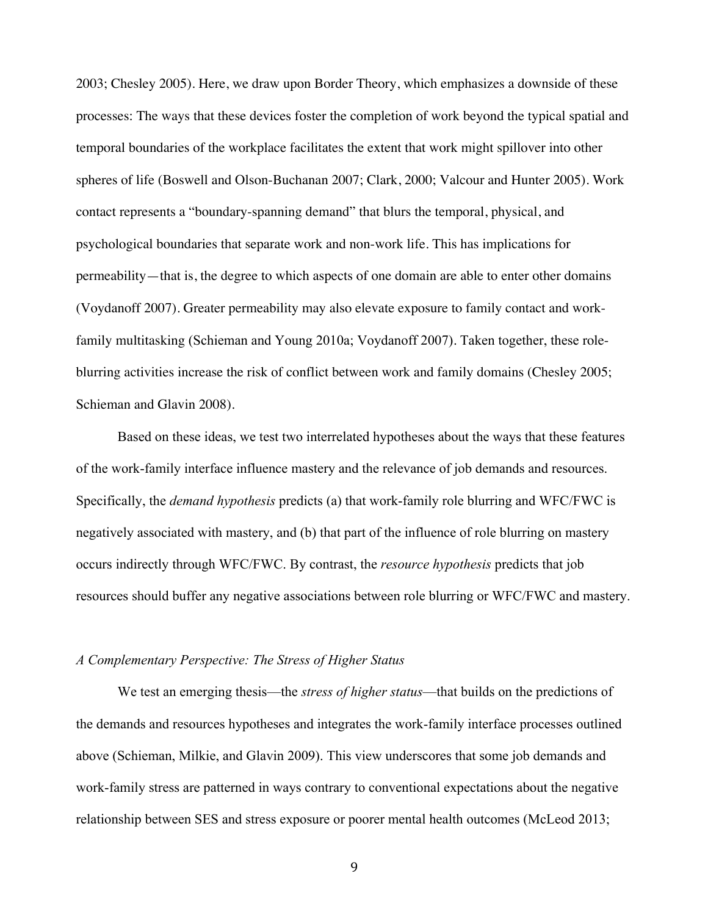2003; Chesley 2005). Here, we draw upon Border Theory, which emphasizes a downside of these processes: The ways that these devices foster the completion of work beyond the typical spatial and temporal boundaries of the workplace facilitates the extent that work might spillover into other spheres of life (Boswell and Olson-Buchanan 2007; Clark, 2000; Valcour and Hunter 2005). Work contact represents a "boundary-spanning demand" that blurs the temporal, physical, and psychological boundaries that separate work and non-work life. This has implications for permeability—that is, the degree to which aspects of one domain are able to enter other domains (Voydanoff 2007). Greater permeability may also elevate exposure to family contact and workfamily multitasking (Schieman and Young 2010a; Voydanoff 2007). Taken together, these roleblurring activities increase the risk of conflict between work and family domains (Chesley 2005; Schieman and Glavin 2008).

Based on these ideas, we test two interrelated hypotheses about the ways that these features of the work-family interface influence mastery and the relevance of job demands and resources. Specifically, the *demand hypothesis* predicts (a) that work-family role blurring and WFC/FWC is negatively associated with mastery, and (b) that part of the influence of role blurring on mastery occurs indirectly through WFC/FWC. By contrast, the *resource hypothesis* predicts that job resources should buffer any negative associations between role blurring or WFC/FWC and mastery.

#### *A Complementary Perspective: The Stress of Higher Status*

We test an emerging thesis—the *stress of higher status*—that builds on the predictions of the demands and resources hypotheses and integrates the work-family interface processes outlined above (Schieman, Milkie, and Glavin 2009). This view underscores that some job demands and work-family stress are patterned in ways contrary to conventional expectations about the negative relationship between SES and stress exposure or poorer mental health outcomes (McLeod 2013;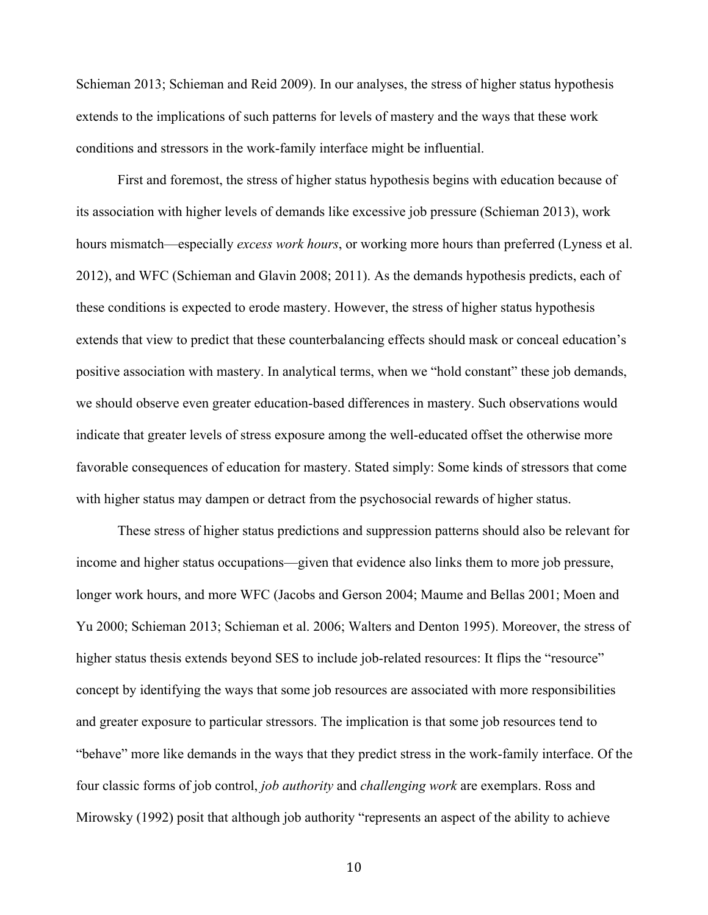Schieman 2013; Schieman and Reid 2009). In our analyses, the stress of higher status hypothesis extends to the implications of such patterns for levels of mastery and the ways that these work conditions and stressors in the work-family interface might be influential.

First and foremost, the stress of higher status hypothesis begins with education because of its association with higher levels of demands like excessive job pressure (Schieman 2013), work hours mismatch—especially *excess work hours*, or working more hours than preferred (Lyness et al. 2012), and WFC (Schieman and Glavin 2008; 2011). As the demands hypothesis predicts, each of these conditions is expected to erode mastery. However, the stress of higher status hypothesis extends that view to predict that these counterbalancing effects should mask or conceal education's positive association with mastery. In analytical terms, when we "hold constant" these job demands, we should observe even greater education-based differences in mastery. Such observations would indicate that greater levels of stress exposure among the well-educated offset the otherwise more favorable consequences of education for mastery. Stated simply: Some kinds of stressors that come with higher status may dampen or detract from the psychosocial rewards of higher status.

These stress of higher status predictions and suppression patterns should also be relevant for income and higher status occupations—given that evidence also links them to more job pressure, longer work hours, and more WFC (Jacobs and Gerson 2004; Maume and Bellas 2001; Moen and Yu 2000; Schieman 2013; Schieman et al. 2006; Walters and Denton 1995). Moreover, the stress of higher status thesis extends beyond SES to include job-related resources: It flips the "resource" concept by identifying the ways that some job resources are associated with more responsibilities and greater exposure to particular stressors. The implication is that some job resources tend to "behave" more like demands in the ways that they predict stress in the work-family interface. Of the four classic forms of job control, *job authority* and *challenging work* are exemplars. Ross and Mirowsky (1992) posit that although job authority "represents an aspect of the ability to achieve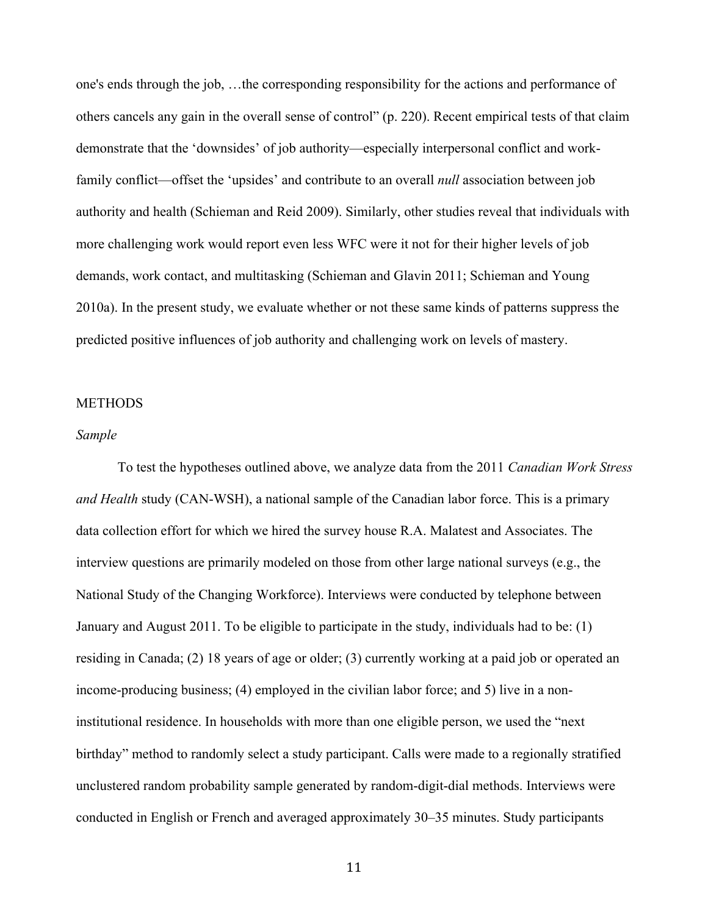one's ends through the job, …the corresponding responsibility for the actions and performance of others cancels any gain in the overall sense of control" (p. 220). Recent empirical tests of that claim demonstrate that the 'downsides' of job authority—especially interpersonal conflict and workfamily conflict—offset the 'upsides' and contribute to an overall *null* association between job authority and health (Schieman and Reid 2009). Similarly, other studies reveal that individuals with more challenging work would report even less WFC were it not for their higher levels of job demands, work contact, and multitasking (Schieman and Glavin 2011; Schieman and Young 2010a). In the present study, we evaluate whether or not these same kinds of patterns suppress the predicted positive influences of job authority and challenging work on levels of mastery.

#### METHODS

## *Sample*

To test the hypotheses outlined above, we analyze data from the 2011 *Canadian Work Stress and Health* study (CAN-WSH), a national sample of the Canadian labor force. This is a primary data collection effort for which we hired the survey house R.A. Malatest and Associates. The interview questions are primarily modeled on those from other large national surveys (e.g., the National Study of the Changing Workforce). Interviews were conducted by telephone between January and August 2011. To be eligible to participate in the study, individuals had to be: (1) residing in Canada; (2) 18 years of age or older; (3) currently working at a paid job or operated an income-producing business; (4) employed in the civilian labor force; and 5) live in a noninstitutional residence. In households with more than one eligible person, we used the "next birthday" method to randomly select a study participant. Calls were made to a regionally stratified unclustered random probability sample generated by random-digit-dial methods. Interviews were conducted in English or French and averaged approximately 30–35 minutes. Study participants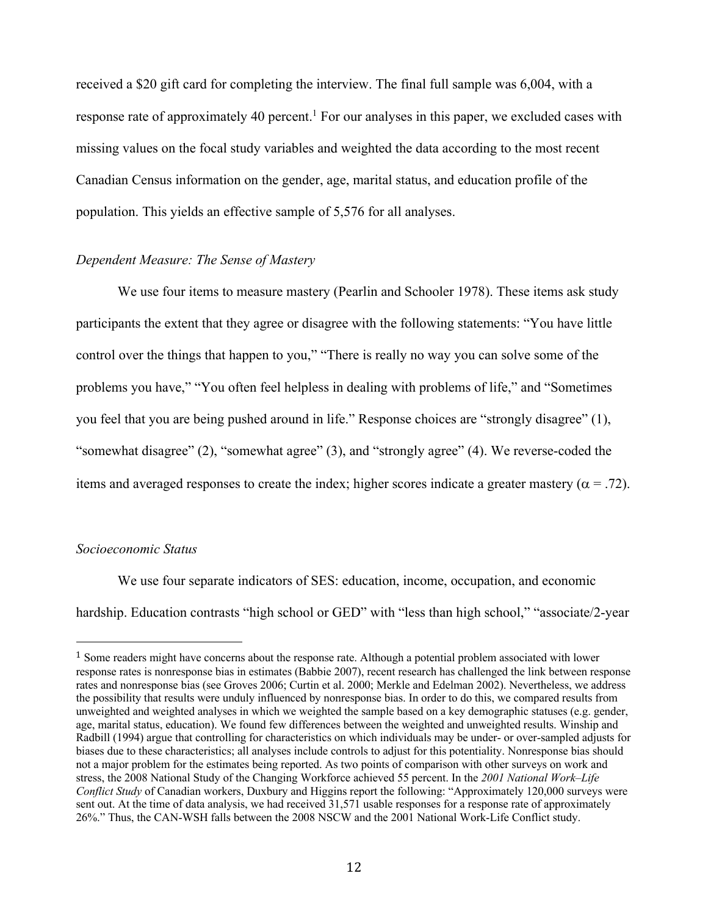received a \$20 gift card for completing the interview. The final full sample was 6,004, with a response rate of approximately 40 percent.<sup>1</sup> For our analyses in this paper, we excluded cases with missing values on the focal study variables and weighted the data according to the most recent Canadian Census information on the gender, age, marital status, and education profile of the population. This yields an effective sample of 5,576 for all analyses.

## *Dependent Measure: The Sense of Mastery*

We use four items to measure mastery (Pearlin and Schooler 1978). These items ask study participants the extent that they agree or disagree with the following statements: "You have little control over the things that happen to you," "There is really no way you can solve some of the problems you have," "You often feel helpless in dealing with problems of life," and "Sometimes you feel that you are being pushed around in life." Response choices are "strongly disagree" (1), "somewhat disagree" (2), "somewhat agree" (3), and "strongly agree" (4). We reverse-coded the items and averaged responses to create the index; higher scores indicate a greater mastery ( $\alpha = .72$ ).

#### *Socioeconomic Status*

We use four separate indicators of SES: education, income, occupation, and economic hardship. Education contrasts "high school or GED" with "less than high school," "associate/2-year

<sup>1</sup> Some readers might have concerns about the response rate. Although a potential problem associated with lower response rates is nonresponse bias in estimates (Babbie 2007), recent research has challenged the link between response rates and nonresponse bias (see Groves 2006; Curtin et al. 2000; Merkle and Edelman 2002). Nevertheless, we address the possibility that results were unduly influenced by nonresponse bias. In order to do this, we compared results from unweighted and weighted analyses in which we weighted the sample based on a key demographic statuses (e.g. gender, age, marital status, education). We found few differences between the weighted and unweighted results. Winship and Radbill (1994) argue that controlling for characteristics on which individuals may be under- or over-sampled adjusts for biases due to these characteristics; all analyses include controls to adjust for this potentiality. Nonresponse bias should not a major problem for the estimates being reported. As two points of comparison with other surveys on work and stress, the 2008 National Study of the Changing Workforce achieved 55 percent. In the *2001 National Work–Life Conflict Study* of Canadian workers, Duxbury and Higgins report the following: "Approximately 120,000 surveys were sent out. At the time of data analysis, we had received 31,571 usable responses for a response rate of approximately 26%." Thus, the CAN-WSH falls between the 2008 NSCW and the 2001 National Work-Life Conflict study.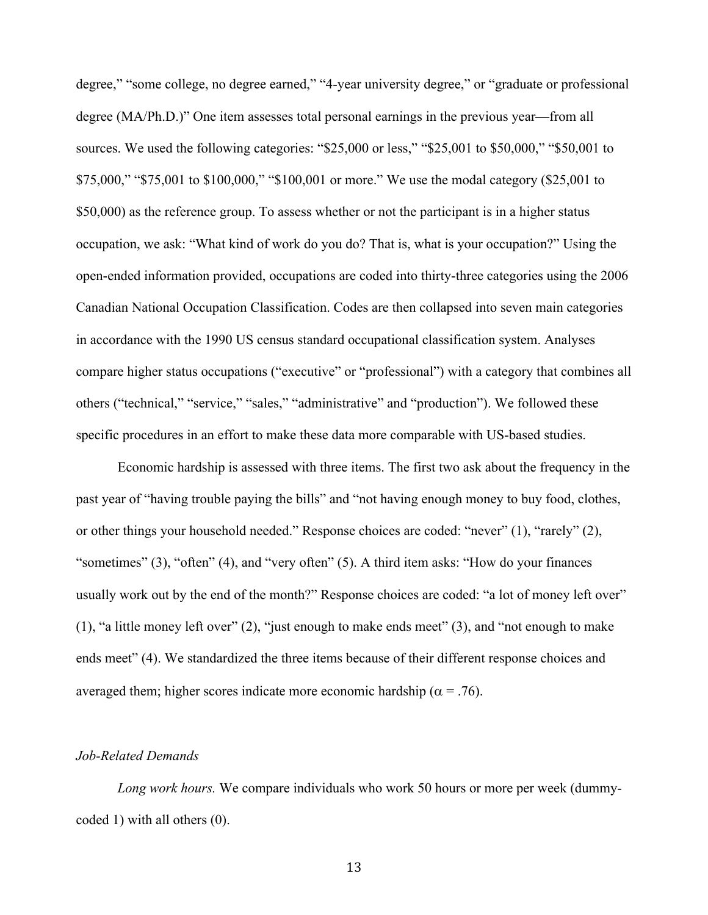degree," "some college, no degree earned," "4-year university degree," or "graduate or professional degree (MA/Ph.D.)" One item assesses total personal earnings in the previous year—from all sources. We used the following categories: "\$25,000 or less," "\$25,001 to \$50,000," "\$50,001 to \$75,000," "\$75,001 to \$100,000," "\$100,001 or more." We use the modal category (\$25,001 to \$50,000) as the reference group. To assess whether or not the participant is in a higher status occupation, we ask: "What kind of work do you do? That is, what is your occupation?" Using the open-ended information provided, occupations are coded into thirty-three categories using the 2006 Canadian National Occupation Classification. Codes are then collapsed into seven main categories in accordance with the 1990 US census standard occupational classification system. Analyses compare higher status occupations ("executive" or "professional") with a category that combines all others ("technical," "service," "sales," "administrative" and "production"). We followed these specific procedures in an effort to make these data more comparable with US-based studies.

Economic hardship is assessed with three items. The first two ask about the frequency in the past year of "having trouble paying the bills" and "not having enough money to buy food, clothes, or other things your household needed." Response choices are coded: "never" (1), "rarely" (2), "sometimes" (3), "often" (4), and "very often" (5). A third item asks: "How do your finances usually work out by the end of the month?" Response choices are coded: "a lot of money left over" (1), "a little money left over" (2), "just enough to make ends meet" (3), and "not enough to make ends meet" (4). We standardized the three items because of their different response choices and averaged them; higher scores indicate more economic hardship ( $\alpha = .76$ ).

## *Job-Related Demands*

*Long work hours.* We compare individuals who work 50 hours or more per week (dummycoded 1) with all others (0).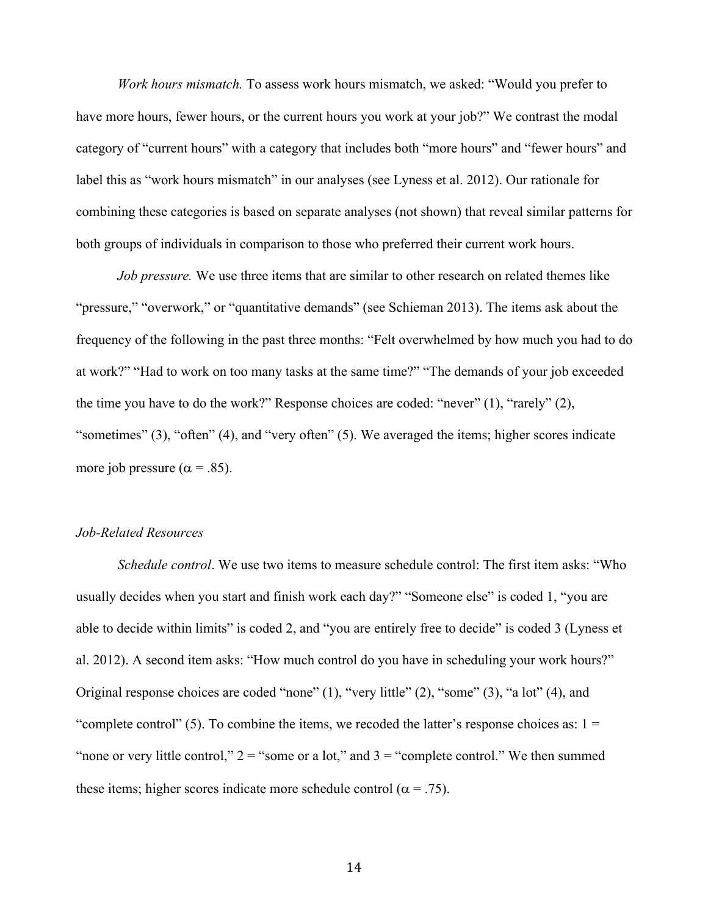*Work hours mismatch.* To assess work hours mismatch, we asked: "Would you prefer to have more hours, fewer hours, or the current hours you work at your job?" We contrast the modal category of "current hours" with a category that includes both "more hours" and "fewer hours" and label this as "work hours mismatch" in our analyses (see Lyness et al. 2012). Our rationale for combining these categories is based on separate analyses (not shown) that reveal similar patterns for both groups of individuals in comparison to those who preferred their current work hours.

*Job pressure.* We use three items that are similar to other research on related themes like "pressure," "overwork," or "quantitative demands" (see Schieman 2013). The items ask about the frequency of the following in the past three months: "Felt overwhelmed by how much you had to do at work?" "Had to work on too many tasks at the same time?" "The demands of your job exceeded the time you have to do the work?" Response choices are coded: "never" (1), "rarely" (2), "sometimes" (3), "often" (4), and "very often" (5). We averaged the items; higher scores indicate more job pressure ( $\alpha$  = .85).

## *Job-Related Resources*

*Schedule control*. We use two items to measure schedule control: The first item asks: "Who usually decides when you start and finish work each day?" "Someone else" is coded 1, "you are able to decide within limits" is coded 2, and "you are entirely free to decide" is coded 3 (Lyness et al. 2012). A second item asks: "How much control do you have in scheduling your work hours?" Original response choices are coded "none" (1), "very little" (2), "some" (3), "a lot" (4), and "complete control" (5). To combine the items, we recoded the latter's response choices as:  $1 =$ "none or very little control,"  $2 =$  "some or a lot," and  $3 =$  "complete control." We then summed these items; higher scores indicate more schedule control ( $\alpha$  = .75).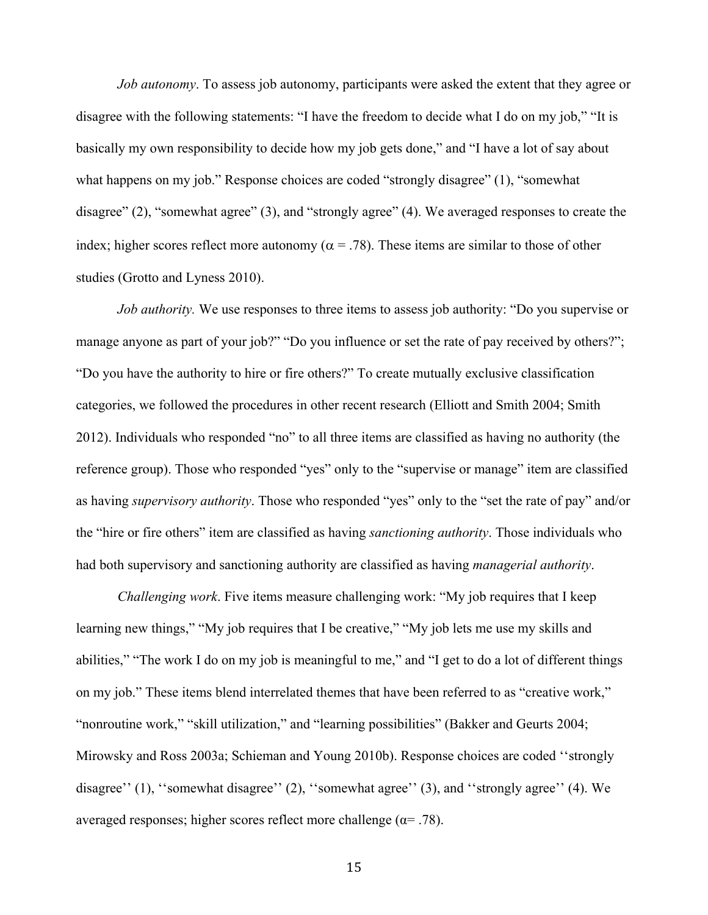*Job autonomy*. To assess job autonomy, participants were asked the extent that they agree or disagree with the following statements: "I have the freedom to decide what I do on my job," "It is basically my own responsibility to decide how my job gets done," and "I have a lot of say about what happens on my job." Response choices are coded "strongly disagree" (1), "somewhat disagree" (2), "somewhat agree" (3), and "strongly agree" (4). We averaged responses to create the index; higher scores reflect more autonomy ( $\alpha$  = .78). These items are similar to those of other studies (Grotto and Lyness 2010).

*Job authority.* We use responses to three items to assess job authority: "Do you supervise or manage anyone as part of your job?" "Do you influence or set the rate of pay received by others?"; "Do you have the authority to hire or fire others?" To create mutually exclusive classification categories, we followed the procedures in other recent research (Elliott and Smith 2004; Smith 2012). Individuals who responded "no" to all three items are classified as having no authority (the reference group). Those who responded "yes" only to the "supervise or manage" item are classified as having *supervisory authority*. Those who responded "yes" only to the "set the rate of pay" and/or the "hire or fire others" item are classified as having *sanctioning authority*. Those individuals who had both supervisory and sanctioning authority are classified as having *managerial authority*.

*Challenging work*. Five items measure challenging work: "My job requires that I keep learning new things," "My job requires that I be creative," "My job lets me use my skills and abilities," "The work I do on my job is meaningful to me," and "I get to do a lot of different things on my job." These items blend interrelated themes that have been referred to as "creative work," "nonroutine work," "skill utilization," and "learning possibilities" (Bakker and Geurts 2004; Mirowsky and Ross 2003a; Schieman and Young 2010b). Response choices are coded ''strongly disagree'' (1), "somewhat disagree'' (2), "somewhat agree'' (3), and "strongly agree'' (4). We averaged responses; higher scores reflect more challenge ( $\alpha$ = .78).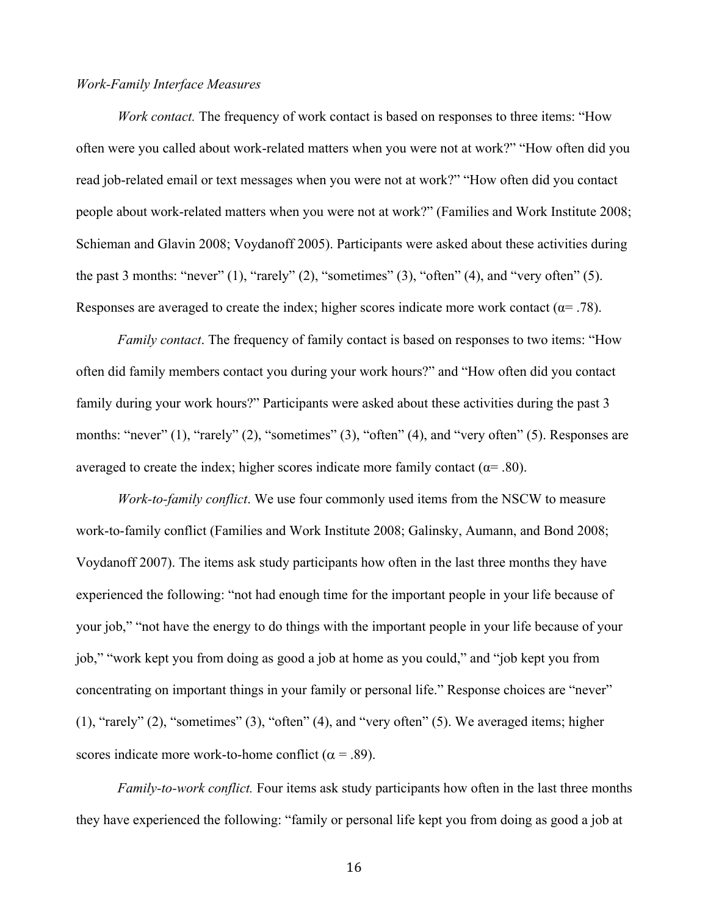#### *Work-Family Interface Measures*

*Work contact.* The frequency of work contact is based on responses to three items: "How often were you called about work-related matters when you were not at work?" "How often did you read job-related email or text messages when you were not at work?" "How often did you contact people about work-related matters when you were not at work?" (Families and Work Institute 2008; Schieman and Glavin 2008; Voydanoff 2005). Participants were asked about these activities during the past 3 months: "never"  $(1)$ , "rarely"  $(2)$ , "sometimes"  $(3)$ , "often"  $(4)$ , and "very often"  $(5)$ . Responses are averaged to create the index; higher scores indicate more work contact ( $\alpha$ = .78).

*Family contact*. The frequency of family contact is based on responses to two items: "How often did family members contact you during your work hours?" and "How often did you contact family during your work hours?" Participants were asked about these activities during the past 3 months: "never" (1), "rarely" (2), "sometimes" (3), "often" (4), and "very often" (5). Responses are averaged to create the index; higher scores indicate more family contact ( $\alpha$ = .80).

*Work-to-family conflict*. We use four commonly used items from the NSCW to measure work-to-family conflict (Families and Work Institute 2008; Galinsky, Aumann, and Bond 2008; Voydanoff 2007). The items ask study participants how often in the last three months they have experienced the following: "not had enough time for the important people in your life because of your job," "not have the energy to do things with the important people in your life because of your job," "work kept you from doing as good a job at home as you could," and "job kept you from concentrating on important things in your family or personal life." Response choices are "never" (1), "rarely" (2), "sometimes" (3), "often" (4), and "very often" (5). We averaged items; higher scores indicate more work-to-home conflict ( $\alpha$  = .89).

*Family-to-work conflict.* Four items ask study participants how often in the last three months they have experienced the following: "family or personal life kept you from doing as good a job at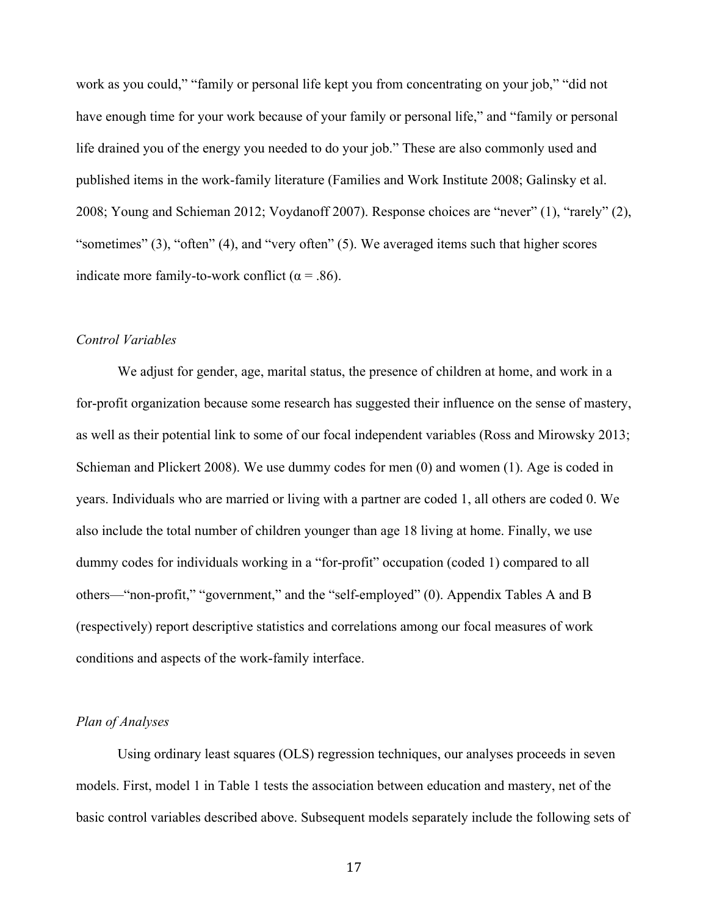work as you could," "family or personal life kept you from concentrating on your job," "did not have enough time for your work because of your family or personal life," and "family or personal life drained you of the energy you needed to do your job." These are also commonly used and published items in the work-family literature (Families and Work Institute 2008; Galinsky et al. 2008; Young and Schieman 2012; Voydanoff 2007). Response choices are "never" (1), "rarely" (2), "sometimes" (3), "often" (4), and "very often" (5). We averaged items such that higher scores indicate more family-to-work conflict ( $\alpha$  = .86).

#### *Control Variables*

We adjust for gender, age, marital status, the presence of children at home, and work in a for-profit organization because some research has suggested their influence on the sense of mastery, as well as their potential link to some of our focal independent variables (Ross and Mirowsky 2013; Schieman and Plickert 2008). We use dummy codes for men (0) and women (1). Age is coded in years. Individuals who are married or living with a partner are coded 1, all others are coded 0. We also include the total number of children younger than age 18 living at home. Finally, we use dummy codes for individuals working in a "for-profit" occupation (coded 1) compared to all others—"non-profit," "government," and the "self-employed" (0). Appendix Tables A and B (respectively) report descriptive statistics and correlations among our focal measures of work conditions and aspects of the work-family interface.

# *Plan of Analyses*

Using ordinary least squares (OLS) regression techniques, our analyses proceeds in seven models. First, model 1 in Table 1 tests the association between education and mastery, net of the basic control variables described above. Subsequent models separately include the following sets of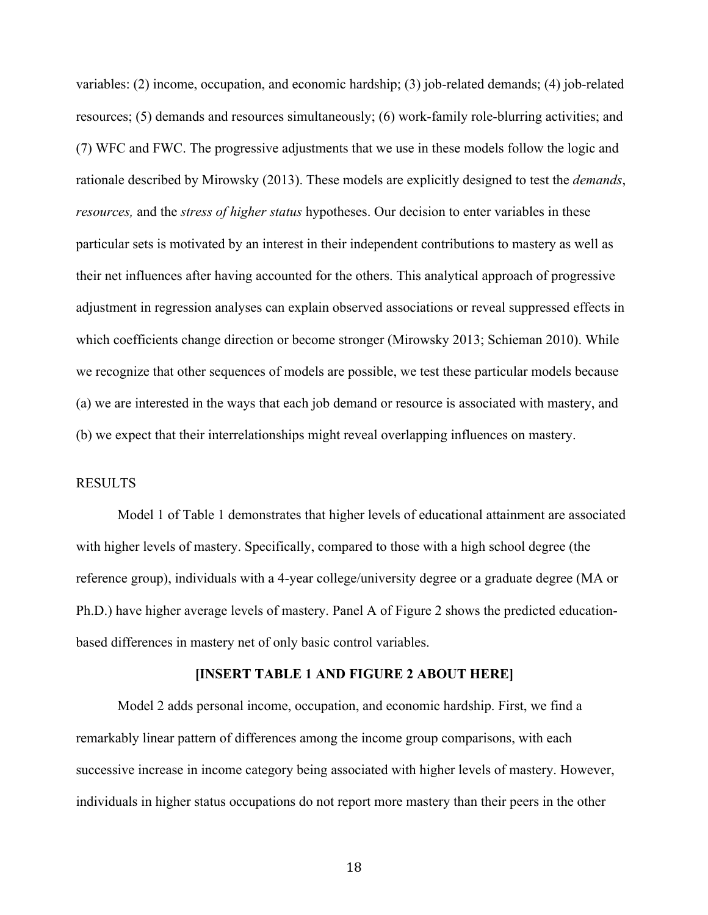variables: (2) income, occupation, and economic hardship; (3) job-related demands; (4) job-related resources; (5) demands and resources simultaneously; (6) work-family role-blurring activities; and (7) WFC and FWC. The progressive adjustments that we use in these models follow the logic and rationale described by Mirowsky (2013). These models are explicitly designed to test the *demands*, *resources,* and the *stress of higher status* hypotheses. Our decision to enter variables in these particular sets is motivated by an interest in their independent contributions to mastery as well as their net influences after having accounted for the others. This analytical approach of progressive adjustment in regression analyses can explain observed associations or reveal suppressed effects in which coefficients change direction or become stronger (Mirowsky 2013; Schieman 2010). While we recognize that other sequences of models are possible, we test these particular models because (a) we are interested in the ways that each job demand or resource is associated with mastery, and (b) we expect that their interrelationships might reveal overlapping influences on mastery.

# RESULTS

Model 1 of Table 1 demonstrates that higher levels of educational attainment are associated with higher levels of mastery. Specifically, compared to those with a high school degree (the reference group), individuals with a 4-year college/university degree or a graduate degree (MA or Ph.D.) have higher average levels of mastery. Panel A of Figure 2 shows the predicted educationbased differences in mastery net of only basic control variables.

## **[INSERT TABLE 1 AND FIGURE 2 ABOUT HERE]**

Model 2 adds personal income, occupation, and economic hardship. First, we find a remarkably linear pattern of differences among the income group comparisons, with each successive increase in income category being associated with higher levels of mastery. However, individuals in higher status occupations do not report more mastery than their peers in the other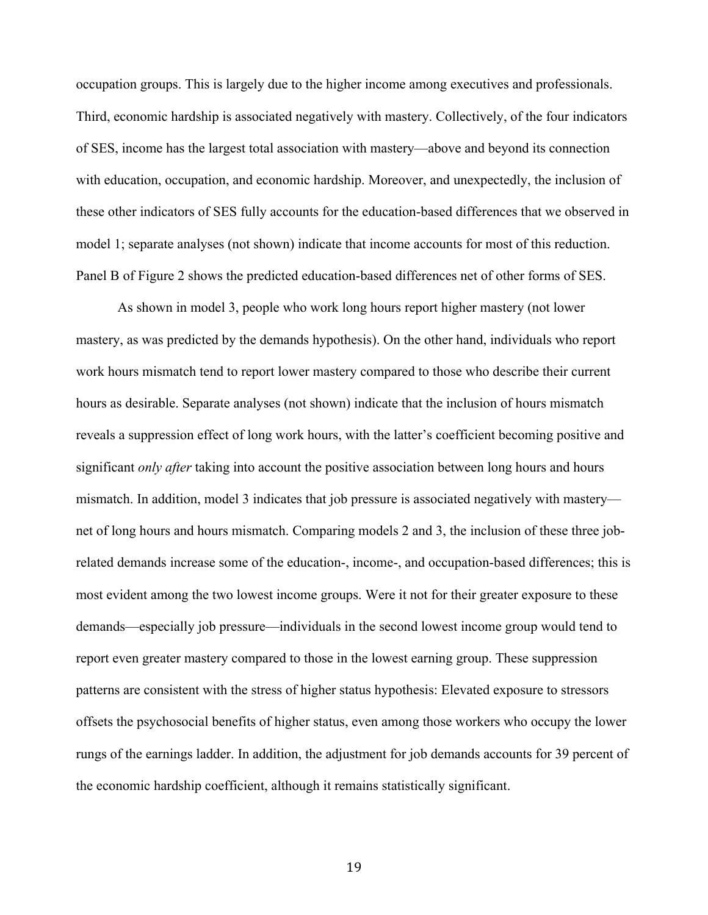occupation groups. This is largely due to the higher income among executives and professionals. Third, economic hardship is associated negatively with mastery. Collectively, of the four indicators of SES, income has the largest total association with mastery—above and beyond its connection with education, occupation, and economic hardship. Moreover, and unexpectedly, the inclusion of these other indicators of SES fully accounts for the education-based differences that we observed in model 1; separate analyses (not shown) indicate that income accounts for most of this reduction. Panel B of Figure 2 shows the predicted education-based differences net of other forms of SES.

As shown in model 3, people who work long hours report higher mastery (not lower mastery, as was predicted by the demands hypothesis). On the other hand, individuals who report work hours mismatch tend to report lower mastery compared to those who describe their current hours as desirable. Separate analyses (not shown) indicate that the inclusion of hours mismatch reveals a suppression effect of long work hours, with the latter's coefficient becoming positive and significant *only after* taking into account the positive association between long hours and hours mismatch. In addition, model 3 indicates that job pressure is associated negatively with mastery net of long hours and hours mismatch. Comparing models 2 and 3, the inclusion of these three jobrelated demands increase some of the education-, income-, and occupation-based differences; this is most evident among the two lowest income groups. Were it not for their greater exposure to these demands—especially job pressure—individuals in the second lowest income group would tend to report even greater mastery compared to those in the lowest earning group. These suppression patterns are consistent with the stress of higher status hypothesis: Elevated exposure to stressors offsets the psychosocial benefits of higher status, even among those workers who occupy the lower rungs of the earnings ladder. In addition, the adjustment for job demands accounts for 39 percent of the economic hardship coefficient, although it remains statistically significant.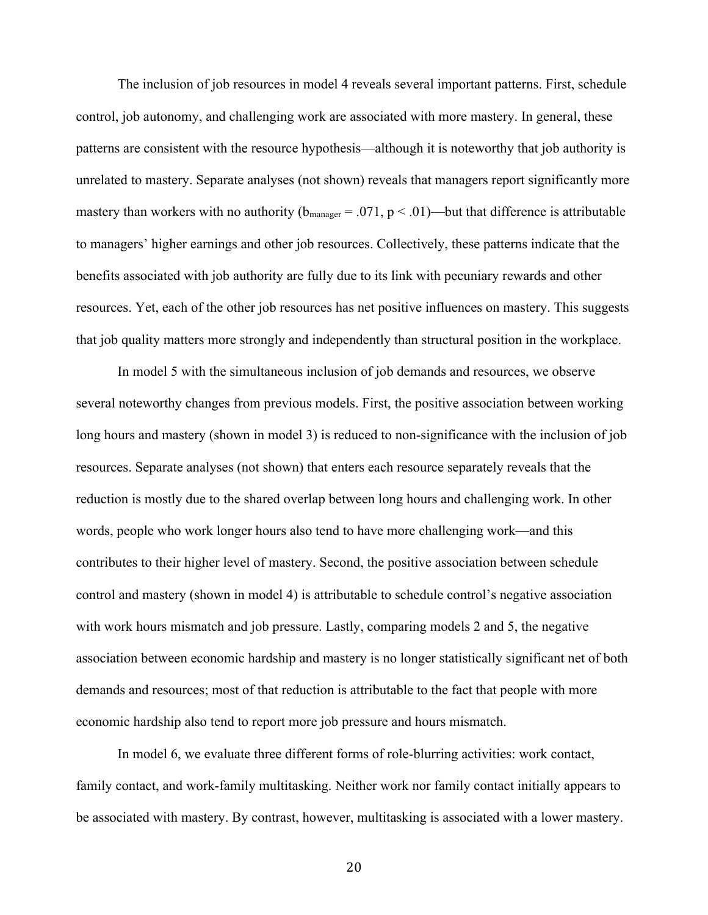The inclusion of job resources in model 4 reveals several important patterns. First, schedule control, job autonomy, and challenging work are associated with more mastery. In general, these patterns are consistent with the resource hypothesis—although it is noteworthy that job authority is unrelated to mastery. Separate analyses (not shown) reveals that managers report significantly more mastery than workers with no authority ( $b_{\text{manager}} = .071$ ,  $p < .01$ )—but that difference is attributable to managers' higher earnings and other job resources. Collectively, these patterns indicate that the benefits associated with job authority are fully due to its link with pecuniary rewards and other resources. Yet, each of the other job resources has net positive influences on mastery. This suggests that job quality matters more strongly and independently than structural position in the workplace.

In model 5 with the simultaneous inclusion of job demands and resources, we observe several noteworthy changes from previous models. First, the positive association between working long hours and mastery (shown in model 3) is reduced to non-significance with the inclusion of job resources. Separate analyses (not shown) that enters each resource separately reveals that the reduction is mostly due to the shared overlap between long hours and challenging work. In other words, people who work longer hours also tend to have more challenging work—and this contributes to their higher level of mastery. Second, the positive association between schedule control and mastery (shown in model 4) is attributable to schedule control's negative association with work hours mismatch and job pressure. Lastly, comparing models 2 and 5, the negative association between economic hardship and mastery is no longer statistically significant net of both demands and resources; most of that reduction is attributable to the fact that people with more economic hardship also tend to report more job pressure and hours mismatch.

In model 6, we evaluate three different forms of role-blurring activities: work contact, family contact, and work-family multitasking. Neither work nor family contact initially appears to be associated with mastery. By contrast, however, multitasking is associated with a lower mastery.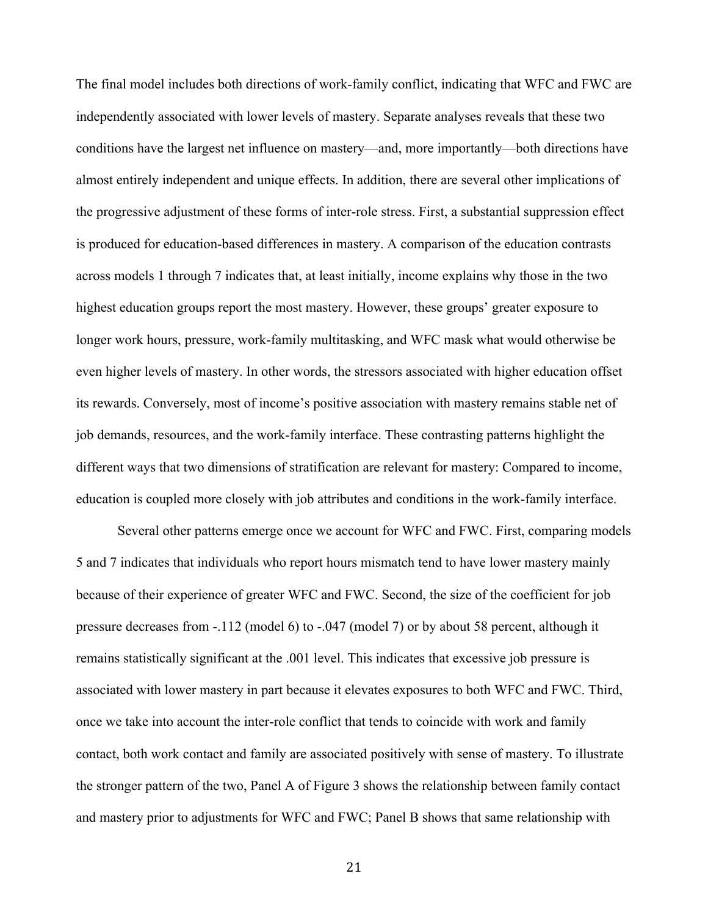The final model includes both directions of work-family conflict, indicating that WFC and FWC are independently associated with lower levels of mastery. Separate analyses reveals that these two conditions have the largest net influence on mastery—and, more importantly—both directions have almost entirely independent and unique effects. In addition, there are several other implications of the progressive adjustment of these forms of inter-role stress. First, a substantial suppression effect is produced for education-based differences in mastery. A comparison of the education contrasts across models 1 through 7 indicates that, at least initially, income explains why those in the two highest education groups report the most mastery. However, these groups' greater exposure to longer work hours, pressure, work-family multitasking, and WFC mask what would otherwise be even higher levels of mastery. In other words, the stressors associated with higher education offset its rewards. Conversely, most of income's positive association with mastery remains stable net of job demands, resources, and the work-family interface. These contrasting patterns highlight the different ways that two dimensions of stratification are relevant for mastery: Compared to income, education is coupled more closely with job attributes and conditions in the work-family interface.

Several other patterns emerge once we account for WFC and FWC. First, comparing models 5 and 7 indicates that individuals who report hours mismatch tend to have lower mastery mainly because of their experience of greater WFC and FWC. Second, the size of the coefficient for job pressure decreases from -.112 (model 6) to -.047 (model 7) or by about 58 percent, although it remains statistically significant at the .001 level. This indicates that excessive job pressure is associated with lower mastery in part because it elevates exposures to both WFC and FWC. Third, once we take into account the inter-role conflict that tends to coincide with work and family contact, both work contact and family are associated positively with sense of mastery. To illustrate the stronger pattern of the two, Panel A of Figure 3 shows the relationship between family contact and mastery prior to adjustments for WFC and FWC; Panel B shows that same relationship with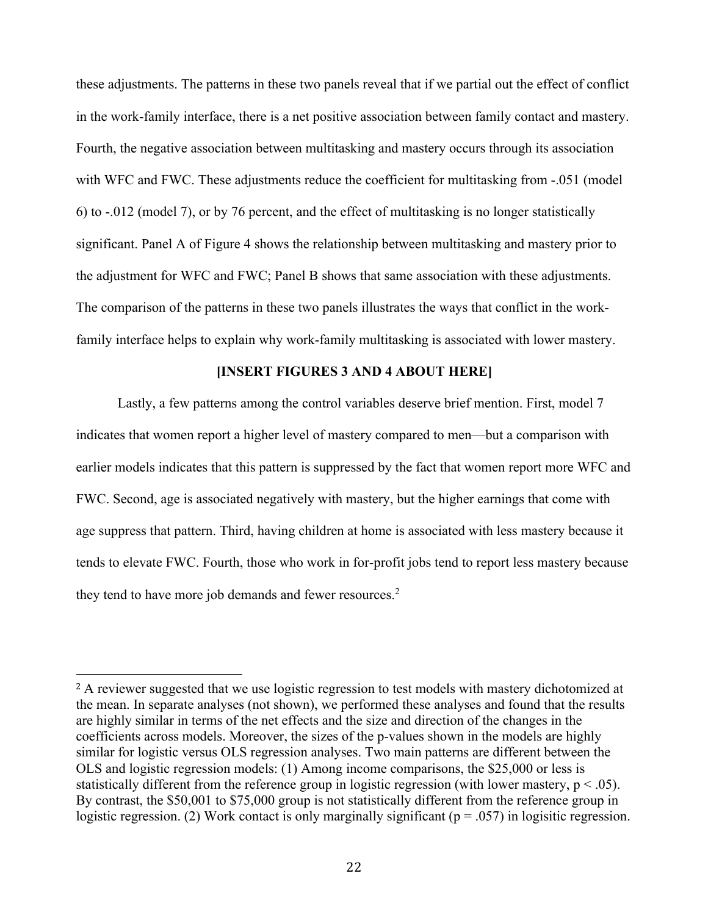these adjustments. The patterns in these two panels reveal that if we partial out the effect of conflict in the work-family interface, there is a net positive association between family contact and mastery. Fourth, the negative association between multitasking and mastery occurs through its association with WFC and FWC. These adjustments reduce the coefficient for multitasking from  $-.051$  (model 6) to -.012 (model 7), or by 76 percent, and the effect of multitasking is no longer statistically significant. Panel A of Figure 4 shows the relationship between multitasking and mastery prior to the adjustment for WFC and FWC; Panel B shows that same association with these adjustments. The comparison of the patterns in these two panels illustrates the ways that conflict in the workfamily interface helps to explain why work-family multitasking is associated with lower mastery.

#### **[INSERT FIGURES 3 AND 4 ABOUT HERE]**

Lastly, a few patterns among the control variables deserve brief mention. First, model 7 indicates that women report a higher level of mastery compared to men—but a comparison with earlier models indicates that this pattern is suppressed by the fact that women report more WFC and FWC. Second, age is associated negatively with mastery, but the higher earnings that come with age suppress that pattern. Third, having children at home is associated with less mastery because it tends to elevate FWC. Fourth, those who work in for-profit jobs tend to report less mastery because they tend to have more job demands and fewer resources.<sup>2</sup>

<sup>&</sup>lt;sup>2</sup> A reviewer suggested that we use logistic regression to test models with mastery dichotomized at the mean. In separate analyses (not shown), we performed these analyses and found that the results are highly similar in terms of the net effects and the size and direction of the changes in the coefficients across models. Moreover, the sizes of the p-values shown in the models are highly similar for logistic versus OLS regression analyses. Two main patterns are different between the OLS and logistic regression models: (1) Among income comparisons, the \$25,000 or less is statistically different from the reference group in logistic regression (with lower mastery,  $p < .05$ ). By contrast, the \$50,001 to \$75,000 group is not statistically different from the reference group in logistic regression. (2) Work contact is only marginally significant ( $p = .057$ ) in logisitic regression.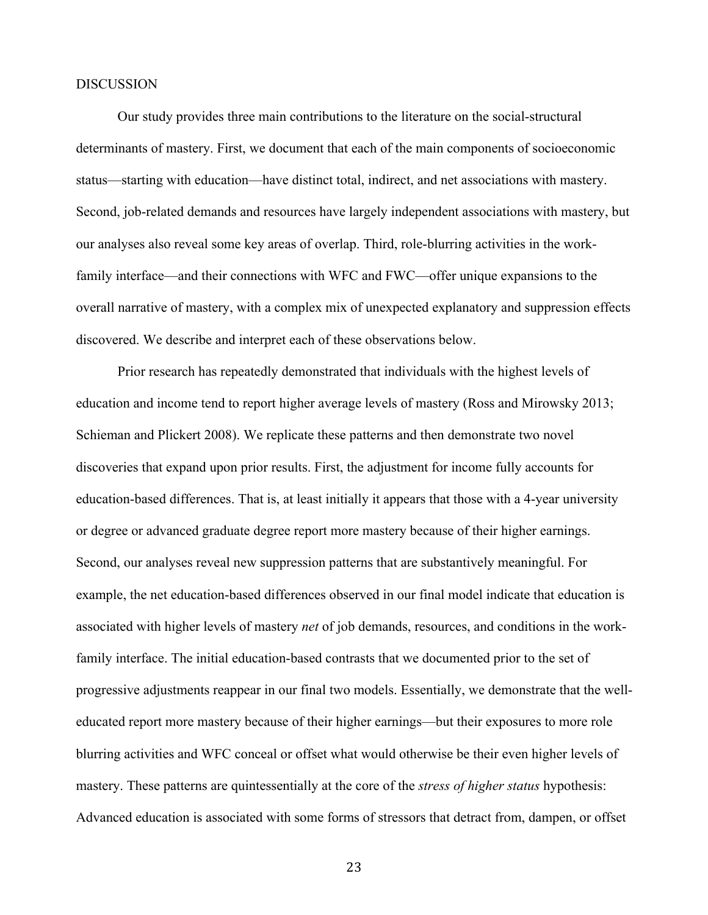#### **DISCUSSION**

Our study provides three main contributions to the literature on the social-structural determinants of mastery. First, we document that each of the main components of socioeconomic status—starting with education—have distinct total, indirect, and net associations with mastery. Second, job-related demands and resources have largely independent associations with mastery, but our analyses also reveal some key areas of overlap. Third, role-blurring activities in the workfamily interface—and their connections with WFC and FWC—offer unique expansions to the overall narrative of mastery, with a complex mix of unexpected explanatory and suppression effects discovered. We describe and interpret each of these observations below.

Prior research has repeatedly demonstrated that individuals with the highest levels of education and income tend to report higher average levels of mastery (Ross and Mirowsky 2013; Schieman and Plickert 2008). We replicate these patterns and then demonstrate two novel discoveries that expand upon prior results. First, the adjustment for income fully accounts for education-based differences. That is, at least initially it appears that those with a 4-year university or degree or advanced graduate degree report more mastery because of their higher earnings. Second, our analyses reveal new suppression patterns that are substantively meaningful. For example, the net education-based differences observed in our final model indicate that education is associated with higher levels of mastery *net* of job demands, resources, and conditions in the workfamily interface. The initial education-based contrasts that we documented prior to the set of progressive adjustments reappear in our final two models. Essentially, we demonstrate that the welleducated report more mastery because of their higher earnings—but their exposures to more role blurring activities and WFC conceal or offset what would otherwise be their even higher levels of mastery. These patterns are quintessentially at the core of the *stress of higher status* hypothesis: Advanced education is associated with some forms of stressors that detract from, dampen, or offset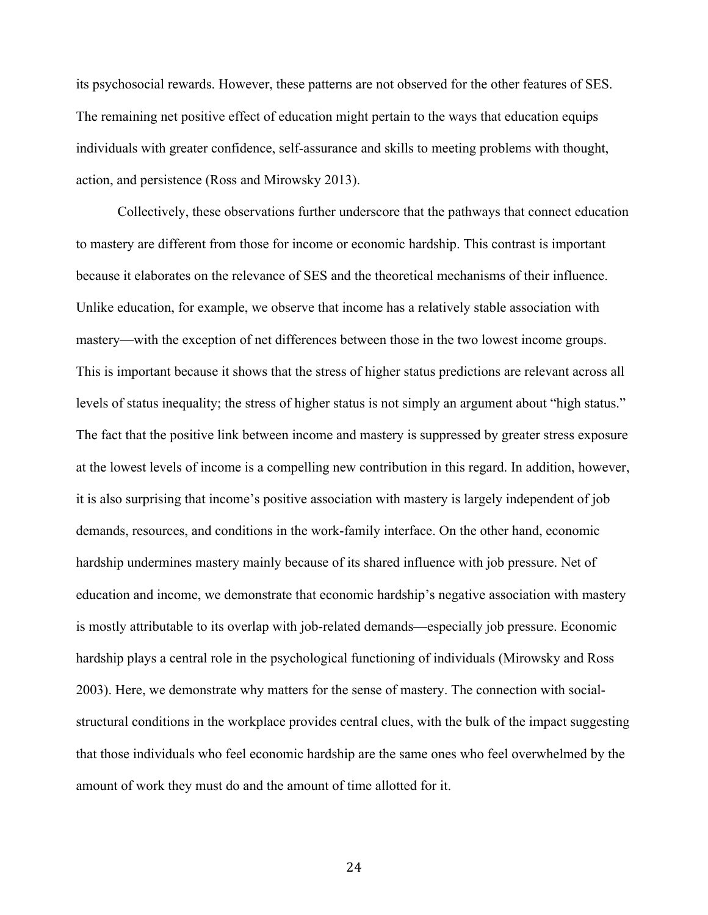its psychosocial rewards. However, these patterns are not observed for the other features of SES. The remaining net positive effect of education might pertain to the ways that education equips individuals with greater confidence, self-assurance and skills to meeting problems with thought, action, and persistence (Ross and Mirowsky 2013).

Collectively, these observations further underscore that the pathways that connect education to mastery are different from those for income or economic hardship. This contrast is important because it elaborates on the relevance of SES and the theoretical mechanisms of their influence. Unlike education, for example, we observe that income has a relatively stable association with mastery—with the exception of net differences between those in the two lowest income groups. This is important because it shows that the stress of higher status predictions are relevant across all levels of status inequality; the stress of higher status is not simply an argument about "high status." The fact that the positive link between income and mastery is suppressed by greater stress exposure at the lowest levels of income is a compelling new contribution in this regard. In addition, however, it is also surprising that income's positive association with mastery is largely independent of job demands, resources, and conditions in the work-family interface. On the other hand, economic hardship undermines mastery mainly because of its shared influence with job pressure. Net of education and income, we demonstrate that economic hardship's negative association with mastery is mostly attributable to its overlap with job-related demands—especially job pressure. Economic hardship plays a central role in the psychological functioning of individuals (Mirowsky and Ross 2003). Here, we demonstrate why matters for the sense of mastery. The connection with socialstructural conditions in the workplace provides central clues, with the bulk of the impact suggesting that those individuals who feel economic hardship are the same ones who feel overwhelmed by the amount of work they must do and the amount of time allotted for it.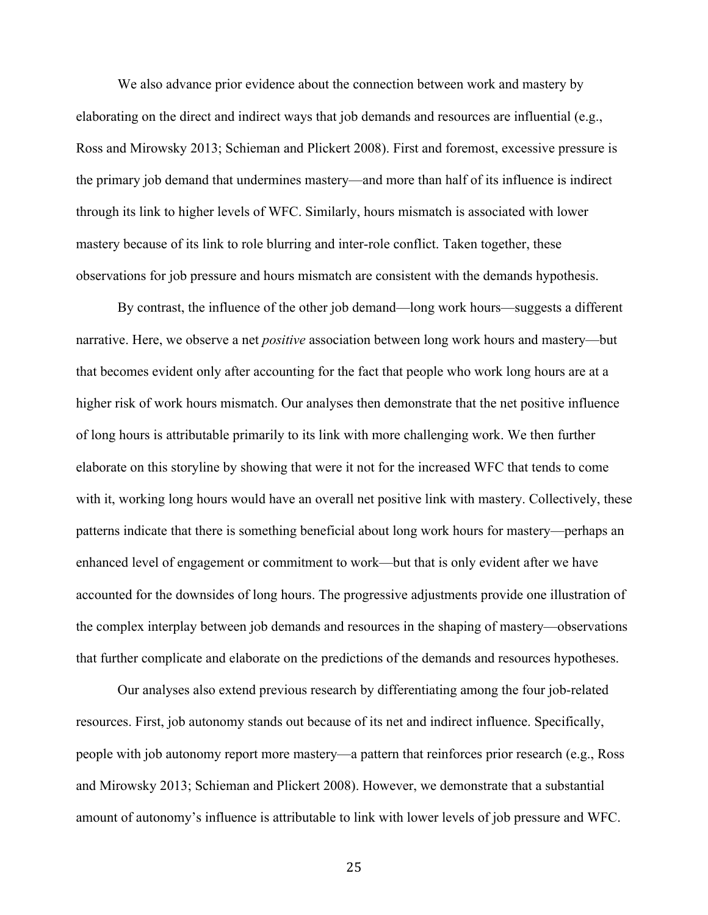We also advance prior evidence about the connection between work and mastery by elaborating on the direct and indirect ways that job demands and resources are influential (e.g., Ross and Mirowsky 2013; Schieman and Plickert 2008). First and foremost, excessive pressure is the primary job demand that undermines mastery—and more than half of its influence is indirect through its link to higher levels of WFC. Similarly, hours mismatch is associated with lower mastery because of its link to role blurring and inter-role conflict. Taken together, these observations for job pressure and hours mismatch are consistent with the demands hypothesis.

By contrast, the influence of the other job demand—long work hours—suggests a different narrative. Here, we observe a net *positive* association between long work hours and mastery—but that becomes evident only after accounting for the fact that people who work long hours are at a higher risk of work hours mismatch. Our analyses then demonstrate that the net positive influence of long hours is attributable primarily to its link with more challenging work. We then further elaborate on this storyline by showing that were it not for the increased WFC that tends to come with it, working long hours would have an overall net positive link with mastery. Collectively, these patterns indicate that there is something beneficial about long work hours for mastery—perhaps an enhanced level of engagement or commitment to work—but that is only evident after we have accounted for the downsides of long hours. The progressive adjustments provide one illustration of the complex interplay between job demands and resources in the shaping of mastery—observations that further complicate and elaborate on the predictions of the demands and resources hypotheses.

Our analyses also extend previous research by differentiating among the four job-related resources. First, job autonomy stands out because of its net and indirect influence. Specifically, people with job autonomy report more mastery—a pattern that reinforces prior research (e.g., Ross and Mirowsky 2013; Schieman and Plickert 2008). However, we demonstrate that a substantial amount of autonomy's influence is attributable to link with lower levels of job pressure and WFC.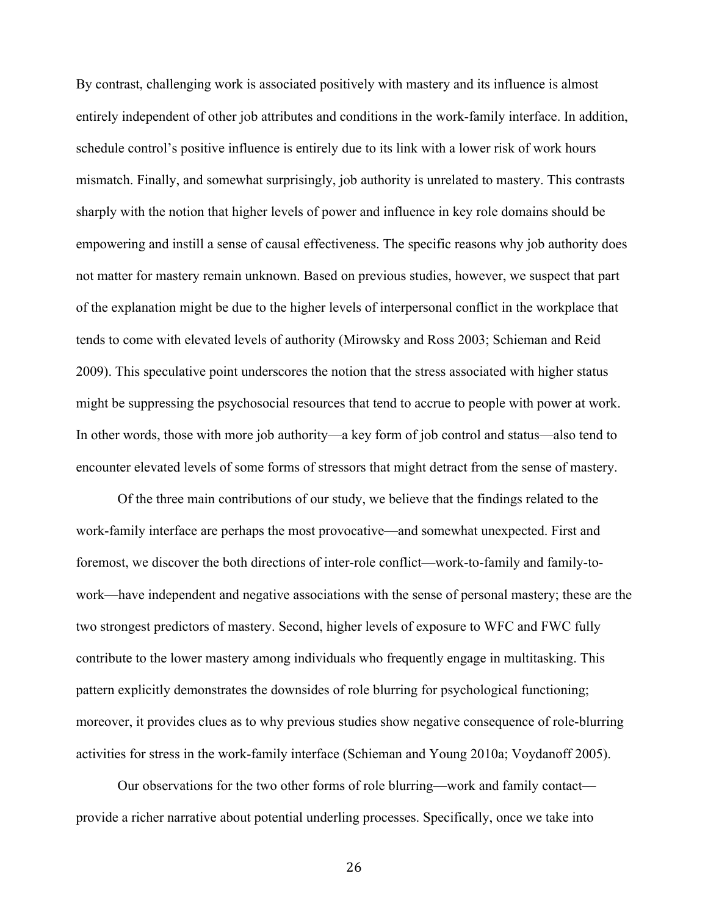By contrast, challenging work is associated positively with mastery and its influence is almost entirely independent of other job attributes and conditions in the work-family interface. In addition, schedule control's positive influence is entirely due to its link with a lower risk of work hours mismatch. Finally, and somewhat surprisingly, job authority is unrelated to mastery. This contrasts sharply with the notion that higher levels of power and influence in key role domains should be empowering and instill a sense of causal effectiveness. The specific reasons why job authority does not matter for mastery remain unknown. Based on previous studies, however, we suspect that part of the explanation might be due to the higher levels of interpersonal conflict in the workplace that tends to come with elevated levels of authority (Mirowsky and Ross 2003; Schieman and Reid 2009). This speculative point underscores the notion that the stress associated with higher status might be suppressing the psychosocial resources that tend to accrue to people with power at work. In other words, those with more job authority—a key form of job control and status—also tend to encounter elevated levels of some forms of stressors that might detract from the sense of mastery.

Of the three main contributions of our study, we believe that the findings related to the work-family interface are perhaps the most provocative—and somewhat unexpected. First and foremost, we discover the both directions of inter-role conflict—work-to-family and family-towork—have independent and negative associations with the sense of personal mastery; these are the two strongest predictors of mastery. Second, higher levels of exposure to WFC and FWC fully contribute to the lower mastery among individuals who frequently engage in multitasking. This pattern explicitly demonstrates the downsides of role blurring for psychological functioning; moreover, it provides clues as to why previous studies show negative consequence of role-blurring activities for stress in the work-family interface (Schieman and Young 2010a; Voydanoff 2005).

Our observations for the two other forms of role blurring—work and family contact provide a richer narrative about potential underling processes. Specifically, once we take into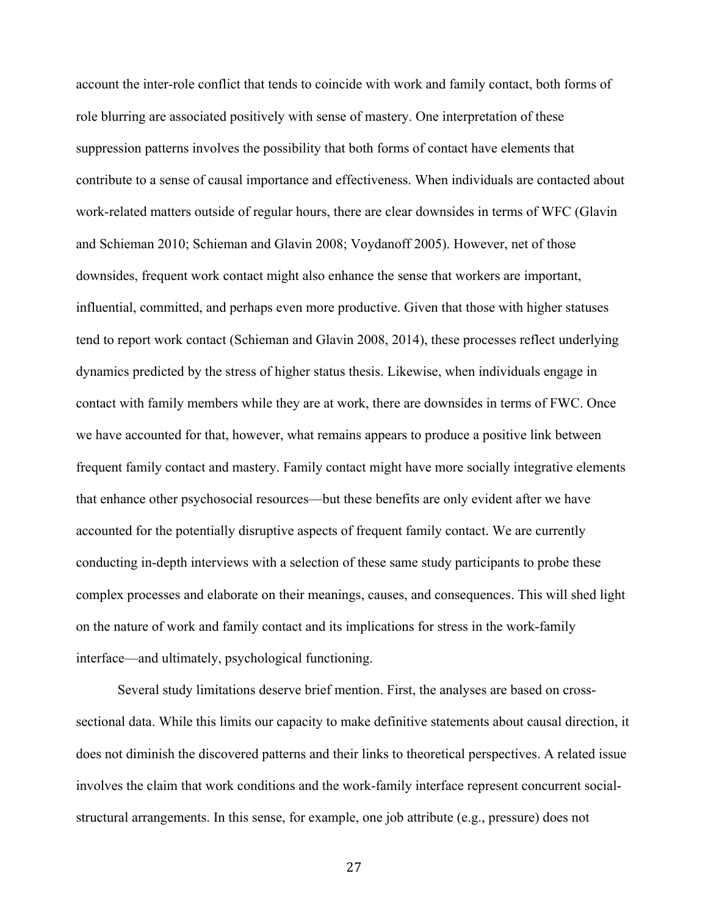account the inter-role conflict that tends to coincide with work and family contact, both forms of role blurring are associated positively with sense of mastery. One interpretation of these suppression patterns involves the possibility that both forms of contact have elements that contribute to a sense of causal importance and effectiveness. When individuals are contacted about work-related matters outside of regular hours, there are clear downsides in terms of WFC (Glavin and Schieman 2010; Schieman and Glavin 2008; Voydanoff 2005). However, net of those downsides, frequent work contact might also enhance the sense that workers are important, influential, committed, and perhaps even more productive. Given that those with higher statuses tend to report work contact (Schieman and Glavin 2008, 2014), these processes reflect underlying dynamics predicted by the stress of higher status thesis. Likewise, when individuals engage in contact with family members while they are at work, there are downsides in terms of FWC. Once we have accounted for that, however, what remains appears to produce a positive link between frequent family contact and mastery. Family contact might have more socially integrative elements that enhance other psychosocial resources—but these benefits are only evident after we have accounted for the potentially disruptive aspects of frequent family contact. We are currently conducting in-depth interviews with a selection of these same study participants to probe these complex processes and elaborate on their meanings, causes, and consequences. This will shed light on the nature of work and family contact and its implications for stress in the work-family interface—and ultimately, psychological functioning.

Several study limitations deserve brief mention. First, the analyses are based on crosssectional data. While this limits our capacity to make definitive statements about causal direction, it does not diminish the discovered patterns and their links to theoretical perspectives. A related issue involves the claim that work conditions and the work-family interface represent concurrent socialstructural arrangements. In this sense, for example, one job attribute (e.g., pressure) does not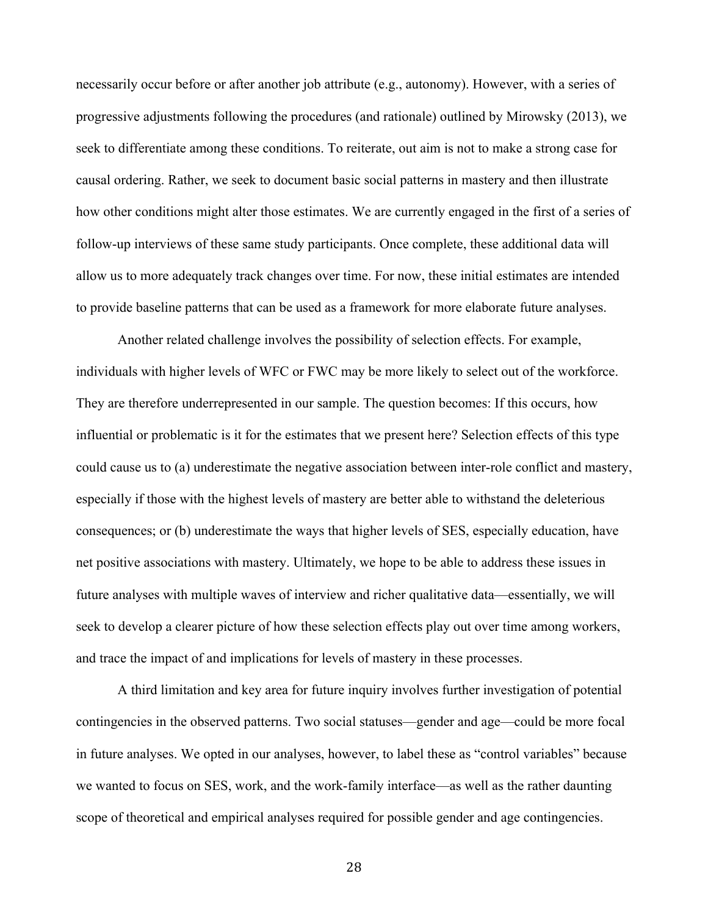necessarily occur before or after another job attribute (e.g., autonomy). However, with a series of progressive adjustments following the procedures (and rationale) outlined by Mirowsky (2013), we seek to differentiate among these conditions. To reiterate, out aim is not to make a strong case for causal ordering. Rather, we seek to document basic social patterns in mastery and then illustrate how other conditions might alter those estimates. We are currently engaged in the first of a series of follow-up interviews of these same study participants. Once complete, these additional data will allow us to more adequately track changes over time. For now, these initial estimates are intended to provide baseline patterns that can be used as a framework for more elaborate future analyses.

Another related challenge involves the possibility of selection effects. For example, individuals with higher levels of WFC or FWC may be more likely to select out of the workforce. They are therefore underrepresented in our sample. The question becomes: If this occurs, how influential or problematic is it for the estimates that we present here? Selection effects of this type could cause us to (a) underestimate the negative association between inter-role conflict and mastery, especially if those with the highest levels of mastery are better able to withstand the deleterious consequences; or (b) underestimate the ways that higher levels of SES, especially education, have net positive associations with mastery. Ultimately, we hope to be able to address these issues in future analyses with multiple waves of interview and richer qualitative data—essentially, we will seek to develop a clearer picture of how these selection effects play out over time among workers, and trace the impact of and implications for levels of mastery in these processes.

A third limitation and key area for future inquiry involves further investigation of potential contingencies in the observed patterns. Two social statuses—gender and age—could be more focal in future analyses. We opted in our analyses, however, to label these as "control variables" because we wanted to focus on SES, work, and the work-family interface—as well as the rather daunting scope of theoretical and empirical analyses required for possible gender and age contingencies.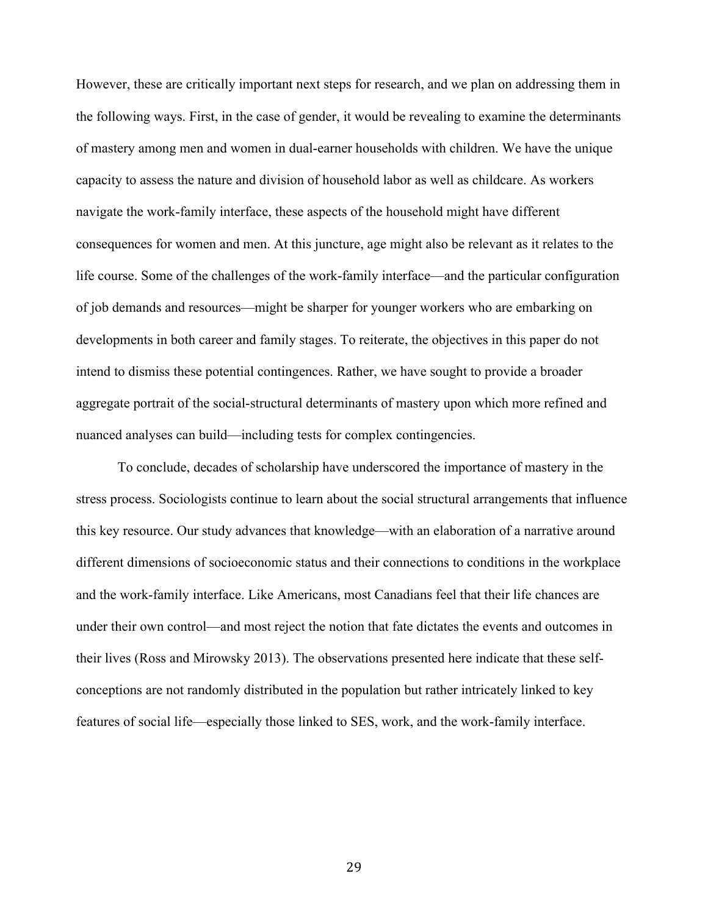However, these are critically important next steps for research, and we plan on addressing them in the following ways. First, in the case of gender, it would be revealing to examine the determinants of mastery among men and women in dual-earner households with children. We have the unique capacity to assess the nature and division of household labor as well as childcare. As workers navigate the work-family interface, these aspects of the household might have different consequences for women and men. At this juncture, age might also be relevant as it relates to the life course. Some of the challenges of the work-family interface—and the particular configuration of job demands and resources—might be sharper for younger workers who are embarking on developments in both career and family stages. To reiterate, the objectives in this paper do not intend to dismiss these potential contingences. Rather, we have sought to provide a broader aggregate portrait of the social-structural determinants of mastery upon which more refined and nuanced analyses can build—including tests for complex contingencies.

To conclude, decades of scholarship have underscored the importance of mastery in the stress process. Sociologists continue to learn about the social structural arrangements that influence this key resource. Our study advances that knowledge—with an elaboration of a narrative around different dimensions of socioeconomic status and their connections to conditions in the workplace and the work-family interface. Like Americans, most Canadians feel that their life chances are under their own control—and most reject the notion that fate dictates the events and outcomes in their lives (Ross and Mirowsky 2013). The observations presented here indicate that these selfconceptions are not randomly distributed in the population but rather intricately linked to key features of social life—especially those linked to SES, work, and the work-family interface.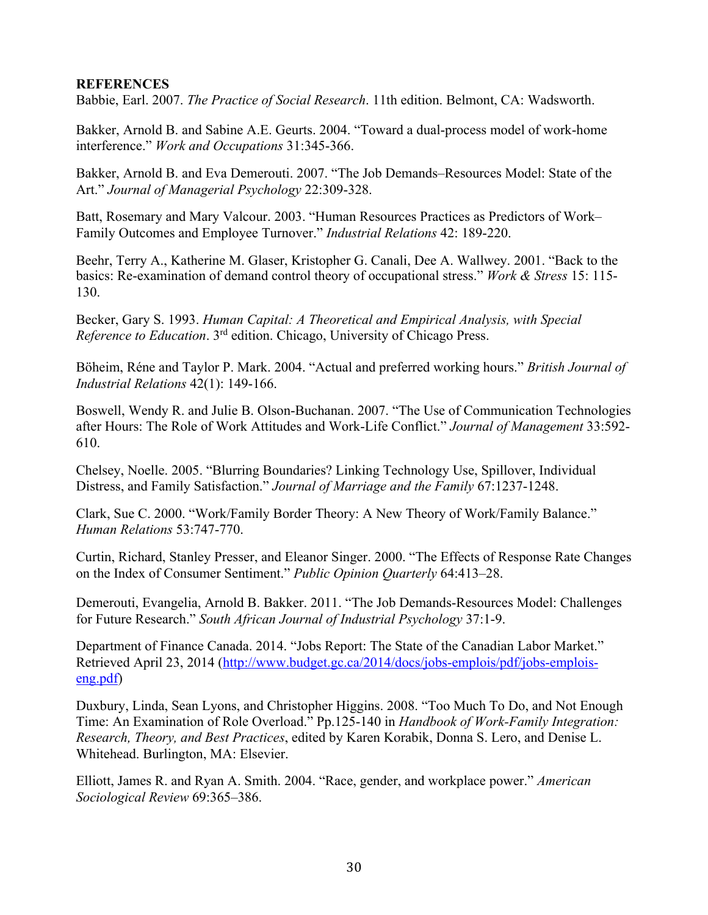# **REFERENCES**

Babbie, Earl. 2007. *The Practice of Social Research*. 11th edition. Belmont, CA: Wadsworth.

Bakker, Arnold B. and Sabine A.E. Geurts. 2004. "Toward a dual-process model of work-home interference." *Work and Occupations* 31:345-366.

Bakker, Arnold B. and Eva Demerouti. 2007. "The Job Demands–Resources Model: State of the Art." *Journal of Managerial Psychology* 22:309-328.

Batt, Rosemary and Mary Valcour. 2003. "Human Resources Practices as Predictors of Work– Family Outcomes and Employee Turnover." *Industrial Relations* 42: 189-220.

Beehr, Terry A., Katherine M. Glaser, Kristopher G. Canali, Dee A. Wallwey. 2001. "Back to the basics: Re-examination of demand control theory of occupational stress." *Work & Stress* 15: 115- 130.

Becker, Gary S. 1993. *Human Capital: A Theoretical and Empirical Analysis, with Special Reference to Education*. 3rd edition. Chicago, University of Chicago Press.

Böheim, Réne and Taylor P. Mark. 2004. "Actual and preferred working hours." *British Journal of Industrial Relations* 42(1): 149-166.

Boswell, Wendy R. and Julie B. Olson-Buchanan. 2007. "The Use of Communication Technologies after Hours: The Role of Work Attitudes and Work-Life Conflict." *Journal of Management* 33:592- 610.

Chelsey, Noelle. 2005. "Blurring Boundaries? Linking Technology Use, Spillover, Individual Distress, and Family Satisfaction." *Journal of Marriage and the Family* 67:1237-1248.

Clark, Sue C. 2000. "Work/Family Border Theory: A New Theory of Work/Family Balance." *Human Relations* 53:747-770.

Curtin, Richard, Stanley Presser, and Eleanor Singer. 2000. "The Effects of Response Rate Changes on the Index of Consumer Sentiment." *Public Opinion Quarterly* 64:413–28.

Demerouti, Evangelia, Arnold B. Bakker. 2011. "The Job Demands-Resources Model: Challenges for Future Research." *South African Journal of Industrial Psychology* 37:1-9.

Department of Finance Canada. 2014. "Jobs Report: The State of the Canadian Labor Market." Retrieved April 23, 2014 (http://www.budget.gc.ca/2014/docs/jobs-emplois/pdf/jobs-emploiseng.pdf)

Duxbury, Linda, Sean Lyons, and Christopher Higgins. 2008. "Too Much To Do, and Not Enough Time: An Examination of Role Overload." Pp.125-140 in *Handbook of Work-Family Integration: Research, Theory, and Best Practices*, edited by Karen Korabik, Donna S. Lero, and Denise L. Whitehead. Burlington, MA: Elsevier.

Elliott, James R. and Ryan A. Smith. 2004. "Race, gender, and workplace power." *American Sociological Review* 69:365–386.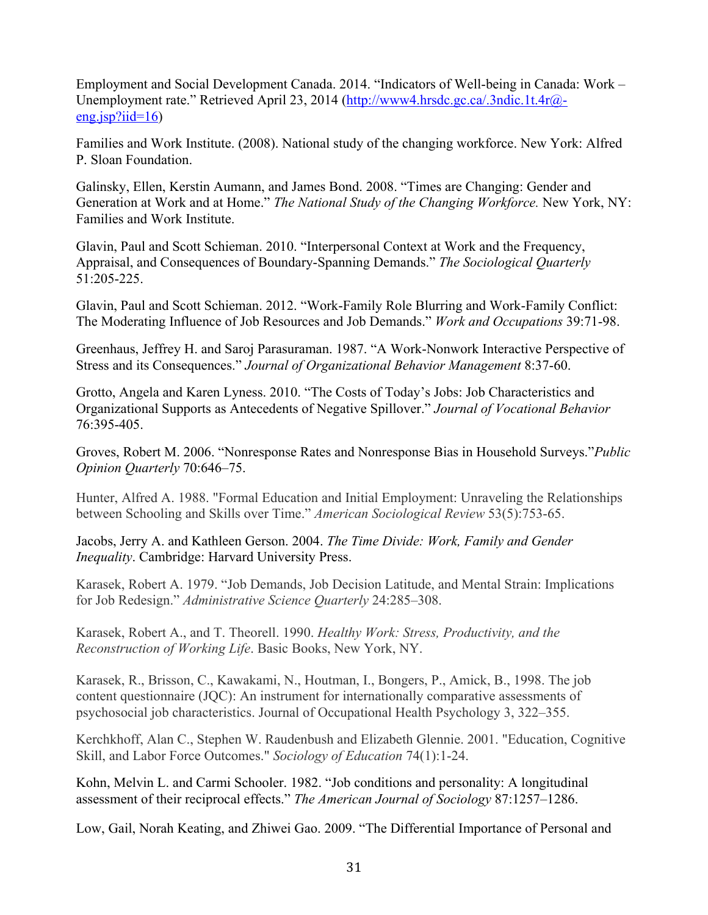Employment and Social Development Canada. 2014. "Indicators of Well-being in Canada: Work – Unemployment rate." Retrieved April 23, 2014 (http://www4.hrsdc.gc.ca/.3ndic.1t.4r@  $eng.jsp?iid=16$ 

Families and Work Institute. (2008). National study of the changing workforce. New York: Alfred P. Sloan Foundation.

Galinsky, Ellen, Kerstin Aumann, and James Bond. 2008. "Times are Changing: Gender and Generation at Work and at Home." *The National Study of the Changing Workforce.* New York, NY: Families and Work Institute.

Glavin, Paul and Scott Schieman. 2010. "Interpersonal Context at Work and the Frequency, Appraisal, and Consequences of Boundary-Spanning Demands." *The Sociological Quarterly* 51:205-225.

Glavin, Paul and Scott Schieman. 2012. "Work-Family Role Blurring and Work-Family Conflict: The Moderating Influence of Job Resources and Job Demands." *Work and Occupations* 39:71-98.

Greenhaus, Jeffrey H. and Saroj Parasuraman. 1987. "A Work-Nonwork Interactive Perspective of Stress and its Consequences." *Journal of Organizational Behavior Management* 8:37-60.

Grotto, Angela and Karen Lyness. 2010. "The Costs of Today's Jobs: Job Characteristics and Organizational Supports as Antecedents of Negative Spillover." *Journal of Vocational Behavior* 76:395-405.

Groves, Robert M. 2006. "Nonresponse Rates and Nonresponse Bias in Household Surveys."*Public Opinion Quarterly* 70:646–75.

Hunter, Alfred A. 1988. "Formal Education and Initial Employment: Unraveling the Relationships between Schooling and Skills over Time." *American Sociological Review* 53(5):753-65.

Jacobs, Jerry A. and Kathleen Gerson. 2004. *The Time Divide: Work, Family and Gender Inequality*. Cambridge: Harvard University Press.

Karasek, Robert A. 1979. "Job Demands, Job Decision Latitude, and Mental Strain: Implications for Job Redesign." *Administrative Science Quarterly* 24:285–308.

Karasek, Robert A., and T. Theorell. 1990. *Healthy Work: Stress, Productivity, and the Reconstruction of Working Life*. Basic Books, New York, NY.

Karasek, R., Brisson, C., Kawakami, N., Houtman, I., Bongers, P., Amick, B., 1998. The job content questionnaire (JQC): An instrument for internationally comparative assessments of psychosocial job characteristics. Journal of Occupational Health Psychology 3, 322–355.

Kerchkhoff, Alan C., Stephen W. Raudenbush and Elizabeth Glennie. 2001. "Education, Cognitive Skill, and Labor Force Outcomes." *Sociology of Education* 74(1):1-24.

Kohn, Melvin L. and Carmi Schooler. 1982. "Job conditions and personality: A longitudinal assessment of their reciprocal effects." *The American Journal of Sociology* 87:1257–1286.

Low, Gail, Norah Keating, and Zhiwei Gao. 2009. "The Differential Importance of Personal and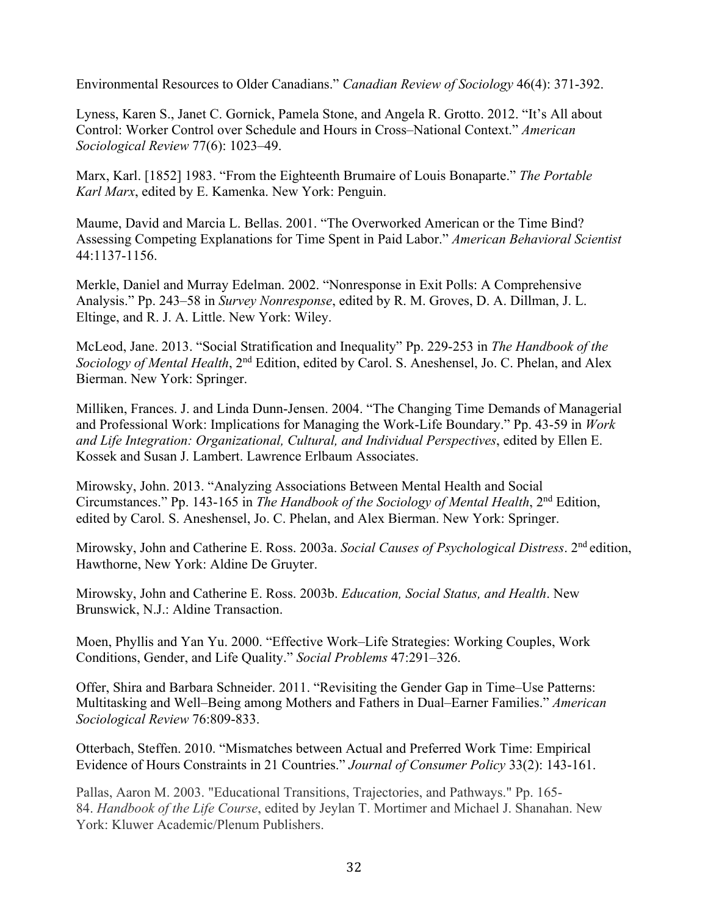Environmental Resources to Older Canadians." *Canadian Review of Sociology* 46(4): 371-392.

Lyness, Karen S., Janet C. Gornick, Pamela Stone, and Angela R. Grotto. 2012. "It's All about Control: Worker Control over Schedule and Hours in Cross–National Context." *American Sociological Review* 77(6): 1023–49.

Marx, Karl. [1852] 1983. "From the Eighteenth Brumaire of Louis Bonaparte." *The Portable Karl Marx*, edited by E. Kamenka. New York: Penguin.

Maume, David and Marcia L. Bellas. 2001. "The Overworked American or the Time Bind? Assessing Competing Explanations for Time Spent in Paid Labor." *American Behavioral Scientist*  44:1137-1156.

Merkle, Daniel and Murray Edelman. 2002. "Nonresponse in Exit Polls: A Comprehensive Analysis." Pp. 243–58 in *Survey Nonresponse*, edited by R. M. Groves, D. A. Dillman, J. L. Eltinge, and R. J. A. Little. New York: Wiley.

McLeod, Jane. 2013. "Social Stratification and Inequality" Pp. 229-253 in *The Handbook of the Sociology of Mental Health*, 2nd Edition, edited by Carol. S. Aneshensel, Jo. C. Phelan, and Alex Bierman. New York: Springer.

Milliken, Frances. J. and Linda Dunn-Jensen. 2004. "The Changing Time Demands of Managerial and Professional Work: Implications for Managing the Work-Life Boundary." Pp. 43-59 in *Work and Life Integration: Organizational, Cultural, and Individual Perspectives*, edited by Ellen E. Kossek and Susan J. Lambert. Lawrence Erlbaum Associates.

Mirowsky, John. 2013. "Analyzing Associations Between Mental Health and Social Circumstances." Pp. 143-165 in *The Handbook of the Sociology of Mental Health*, 2nd Edition, edited by Carol. S. Aneshensel, Jo. C. Phelan, and Alex Bierman. New York: Springer.

Mirowsky, John and Catherine E. Ross. 2003a. *Social Causes of Psychological Distress*. 2nd edition, Hawthorne, New York: Aldine De Gruyter.

Mirowsky, John and Catherine E. Ross. 2003b. *Education, Social Status, and Health*. New Brunswick, N.J.: Aldine Transaction.

Moen, Phyllis and Yan Yu. 2000. "Effective Work–Life Strategies: Working Couples, Work Conditions, Gender, and Life Quality." *Social Problems* 47:291–326.

Offer, Shira and Barbara Schneider. 2011. "Revisiting the Gender Gap in Time–Use Patterns: Multitasking and Well–Being among Mothers and Fathers in Dual–Earner Families." *American Sociological Review* 76:809-833.

Otterbach, Steffen. 2010. "Mismatches between Actual and Preferred Work Time: Empirical Evidence of Hours Constraints in 21 Countries." *Journal of Consumer Policy* 33(2): 143-161.

Pallas, Aaron M. 2003. "Educational Transitions, Trajectories, and Pathways." Pp. 165- 84. *Handbook of the Life Course*, edited by Jeylan T. Mortimer and Michael J. Shanahan. New York: Kluwer Academic/Plenum Publishers.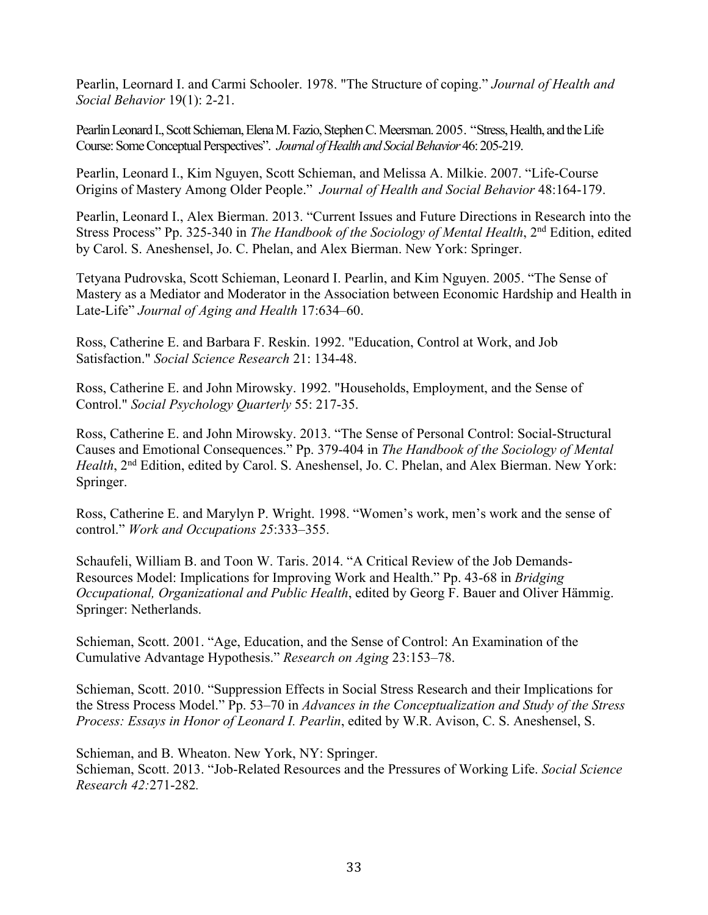Pearlin, Leornard I. and Carmi Schooler. 1978. "The Structure of coping." *Journal of Health and Social Behavior* 19(1): 2-21.

Pearlin Leonard I., Scott Schieman, Elena M. Fazio, Stephen C. Meersman. 2005. "Stress, Health, and the Life Course:SomeConceptualPerspectives". *Journal ofHealthandSocialBehavior* 46:205-219.

Pearlin, Leonard I., Kim Nguyen, Scott Schieman, and Melissa A. Milkie. 2007. "Life-Course Origins of Mastery Among Older People." *Journal of Health and Social Behavior* 48:164-179.

Pearlin, Leonard I., Alex Bierman. 2013. "Current Issues and Future Directions in Research into the Stress Process" Pp. 325-340 in *The Handbook of the Sociology of Mental Health*, 2<sup>nd</sup> Edition, edited by Carol. S. Aneshensel, Jo. C. Phelan, and Alex Bierman. New York: Springer.

Tetyana Pudrovska, Scott Schieman, Leonard I. Pearlin, and Kim Nguyen. 2005. "The Sense of Mastery as a Mediator and Moderator in the Association between Economic Hardship and Health in Late-Life" *Journal of Aging and Health* 17:634–60.

Ross, Catherine E. and Barbara F. Reskin. 1992. "Education, Control at Work, and Job Satisfaction." *Social Science Research* 21: 134-48.

Ross, Catherine E. and John Mirowsky. 1992. "Households, Employment, and the Sense of Control." *Social Psychology Quarterly* 55: 217-35.

Ross, Catherine E. and John Mirowsky. 2013. "The Sense of Personal Control: Social-Structural Causes and Emotional Consequences." Pp. 379-404 in *The Handbook of the Sociology of Mental*  Health, 2<sup>nd</sup> Edition, edited by Carol. S. Aneshensel, Jo. C. Phelan, and Alex Bierman. New York: Springer.

Ross, Catherine E. and Marylyn P. Wright. 1998. "Women's work, men's work and the sense of control." *Work and Occupations 25*:333–355.

Schaufeli, William B. and Toon W. Taris. 2014. "A Critical Review of the Job Demands-Resources Model: Implications for Improving Work and Health." Pp. 43-68 in *Bridging Occupational, Organizational and Public Health*, edited by Georg F. Bauer and Oliver Hämmig. Springer: Netherlands.

Schieman, Scott. 2001. "Age, Education, and the Sense of Control: An Examination of the Cumulative Advantage Hypothesis." *Research on Aging* 23:153–78.

Schieman, Scott. 2010. "Suppression Effects in Social Stress Research and their Implications for the Stress Process Model." Pp. 53–70 in *Advances in the Conceptualization and Study of the Stress Process: Essays in Honor of Leonard I. Pearlin*, edited by W.R. Avison, C. S. Aneshensel, S.

Schieman, and B. Wheaton. New York, NY: Springer. Schieman, Scott. 2013. "Job-Related Resources and the Pressures of Working Life. *Social Science Research 42:*271-282*.*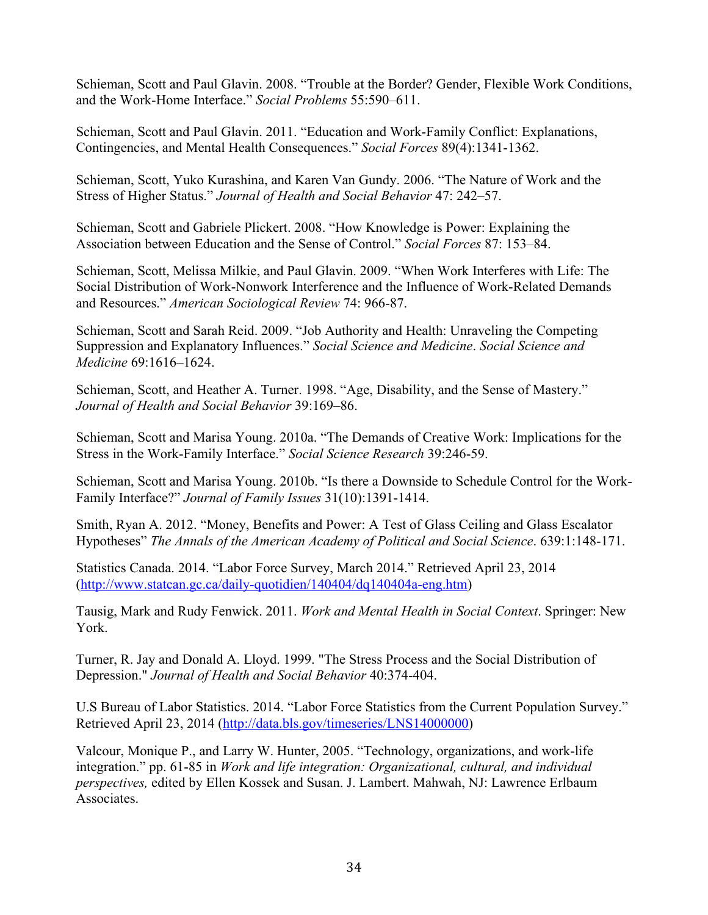Schieman, Scott and Paul Glavin. 2008. "Trouble at the Border? Gender, Flexible Work Conditions, and the Work-Home Interface." *Social Problems* 55:590–611.

Schieman, Scott and Paul Glavin. 2011. "Education and Work-Family Conflict: Explanations, Contingencies, and Mental Health Consequences." *Social Forces* 89(4):1341-1362.

Schieman, Scott, Yuko Kurashina, and Karen Van Gundy. 2006. "The Nature of Work and the Stress of Higher Status." *Journal of Health and Social Behavior* 47: 242–57.

Schieman, Scott and Gabriele Plickert. 2008. "How Knowledge is Power: Explaining the Association between Education and the Sense of Control." *Social Forces* 87: 153–84.

Schieman, Scott, Melissa Milkie, and Paul Glavin. 2009. "When Work Interferes with Life: The Social Distribution of Work-Nonwork Interference and the Influence of Work-Related Demands and Resources." *American Sociological Review* 74: 966-87.

Schieman, Scott and Sarah Reid. 2009. "Job Authority and Health: Unraveling the Competing Suppression and Explanatory Influences." *Social Science and Medicine*. *Social Science and Medicine* 69:1616–1624.

Schieman, Scott, and Heather A. Turner. 1998. "Age, Disability, and the Sense of Mastery." *Journal of Health and Social Behavior* 39:169–86.

Schieman, Scott and Marisa Young. 2010a. "The Demands of Creative Work: Implications for the Stress in the Work-Family Interface." *Social Science Research* 39:246-59.

Schieman, Scott and Marisa Young. 2010b. "Is there a Downside to Schedule Control for the Work-Family Interface?" *Journal of Family Issues* 31(10):1391-1414.

Smith, Ryan A. 2012. "Money, Benefits and Power: A Test of Glass Ceiling and Glass Escalator Hypotheses" *The Annals of the American Academy of Political and Social Science*. 639:1:148-171.

Statistics Canada. 2014. "Labor Force Survey, March 2014." Retrieved April 23, 2014 (http://www.statcan.gc.ca/daily-quotidien/140404/dq140404a-eng.htm)

Tausig, Mark and Rudy Fenwick. 2011. *Work and Mental Health in Social Context*. Springer: New York.

Turner, R. Jay and Donald A. Lloyd. 1999. "The Stress Process and the Social Distribution of Depression." *Journal of Health and Social Behavior* 40:374-404.

U.S Bureau of Labor Statistics. 2014. "Labor Force Statistics from the Current Population Survey." Retrieved April 23, 2014 (http://data.bls.gov/timeseries/LNS14000000)

Valcour, Monique P., and Larry W. Hunter, 2005. "Technology, organizations, and work-life integration." pp. 61-85 in *Work and life integration: Organizational, cultural, and individual perspectives,* edited by Ellen Kossek and Susan. J. Lambert. Mahwah, NJ: Lawrence Erlbaum Associates.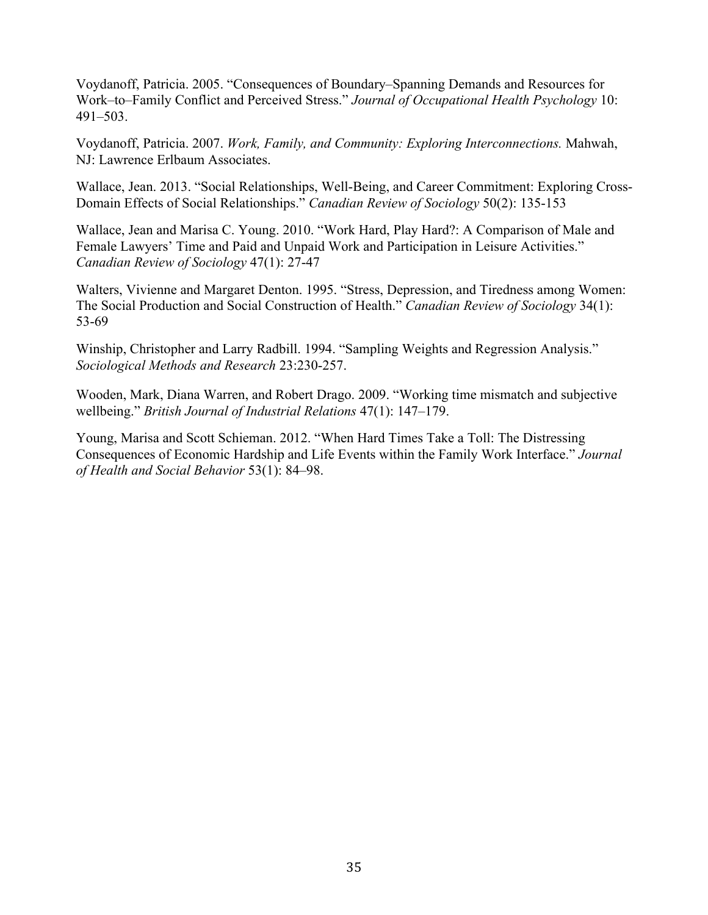Voydanoff, Patricia. 2005. "Consequences of Boundary–Spanning Demands and Resources for Work–to–Family Conflict and Perceived Stress." *Journal of Occupational Health Psychology* 10: 491–503.

Voydanoff, Patricia. 2007. *Work, Family, and Community: Exploring Interconnections.* Mahwah, NJ: Lawrence Erlbaum Associates.

Wallace, Jean. 2013. "Social Relationships, Well-Being, and Career Commitment: Exploring Cross-Domain Effects of Social Relationships." *Canadian Review of Sociology* 50(2): 135-153

Wallace, Jean and Marisa C. Young. 2010. "Work Hard, Play Hard?: A Comparison of Male and Female Lawyers' Time and Paid and Unpaid Work and Participation in Leisure Activities." *Canadian Review of Sociology* 47(1): 27-47

Walters, Vivienne and Margaret Denton. 1995. "Stress, Depression, and Tiredness among Women: The Social Production and Social Construction of Health." *Canadian Review of Sociology* 34(1): 53-69

Winship, Christopher and Larry Radbill. 1994. "Sampling Weights and Regression Analysis." *Sociological Methods and Research* 23:230-257.

Wooden, Mark, Diana Warren, and Robert Drago. 2009. "Working time mismatch and subjective wellbeing." *British Journal of Industrial Relations* 47(1): 147–179.

Young, Marisa and Scott Schieman. 2012. "When Hard Times Take a Toll: The Distressing Consequences of Economic Hardship and Life Events within the Family Work Interface." *Journal of Health and Social Behavior* 53(1): 84–98.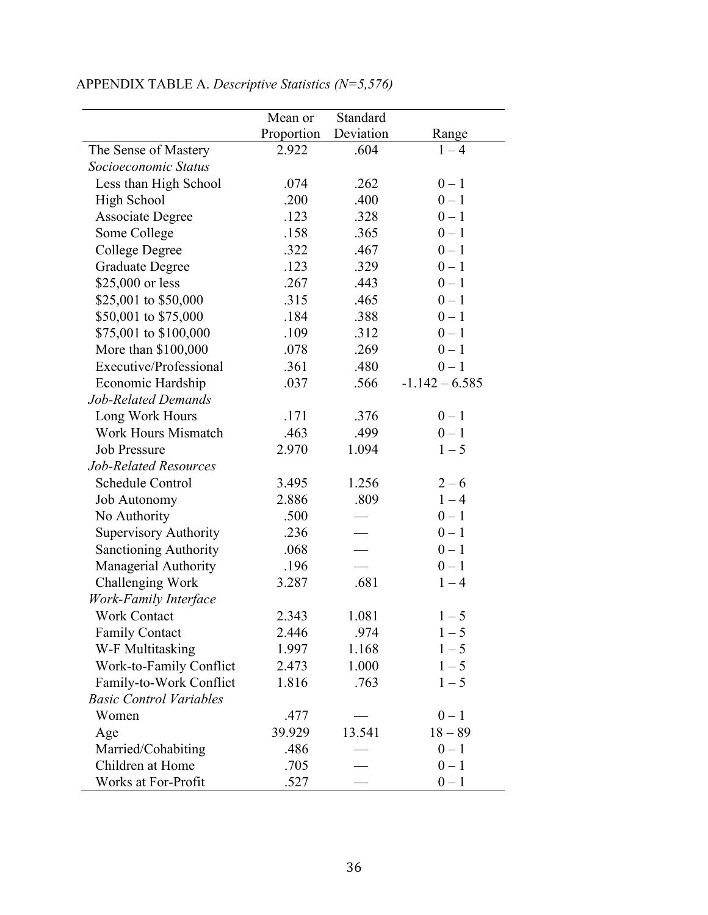|                                | Mean or    | Standard  |                  |
|--------------------------------|------------|-----------|------------------|
|                                | Proportion | Deviation | Range            |
| The Sense of Mastery           | 2.922      | .604      | $1 - 4$          |
| Socioeconomic Status           |            |           |                  |
| Less than High School          | .074       | .262      | $0 - 1$          |
| <b>High School</b>             | .200       | .400      | $0 - 1$          |
| <b>Associate Degree</b>        | .123       | .328      | $0-1$            |
| Some College                   | .158       | .365      | $0-1$            |
| College Degree                 | .322       | .467      | $0-1$            |
| <b>Graduate Degree</b>         | .123       | .329      | $0-1$            |
| \$25,000 or less               | .267       | .443      | $0 - 1$          |
| \$25,001 to \$50,000           | .315       | .465      | $0 - 1$          |
| \$50,001 to \$75,000           | .184       | .388      | $0-1$            |
| \$75,001 to \$100,000          | .109       | .312      | $0 - 1$          |
| More than \$100,000            | .078       | .269      | $0-1$            |
| Executive/Professional         | .361       | .480      | $0 - 1$          |
| Economic Hardship              | .037       | .566      | $-1.142 - 6.585$ |
| <b>Job-Related Demands</b>     |            |           |                  |
| Long Work Hours                | .171       | .376      | $0-1$            |
| <b>Work Hours Mismatch</b>     | .463       | .499      | $0-1$            |
| Job Pressure                   | 2.970      | 1.094     | $1 - 5$          |
| <b>Job-Related Resources</b>   |            |           |                  |
| Schedule Control               | 3.495      | 1.256     | $2 - 6$          |
| Job Autonomy                   | 2.886      | .809      | $1 - 4$          |
| No Authority                   | .500       |           | $0-1$            |
| <b>Supervisory Authority</b>   | .236       |           | $0 - 1$          |
| Sanctioning Authority          | .068       |           | $0-1$            |
| Managerial Authority           | .196       |           | $0-1$            |
| Challenging Work               | 3.287      | .681      | $1 - 4$          |
| Work-Family Interface          |            |           |                  |
| <b>Work Contact</b>            | 2.343      | 1.081     | $1 - 5$          |
| <b>Family Contact</b>          | 2.446      | .974      | $1 - 5$          |
| W-F Multitasking               | 1.997      | 1.168     | $1 - 5$          |
| Work-to-Family Conflict        | 2.473      | 1.000     | $1 - 5$          |
| Family-to-Work Conflict        | 1.816      | .763      | $1 - 5$          |
| <b>Basic Control Variables</b> |            |           |                  |
| Women                          | .477       |           | $0 - 1$          |
| Age                            | 39.929     | 13.541    | $18 - 89$        |
| Married/Cohabiting             | .486       |           | $0 - 1$          |
| Children at Home               | .705       |           | $0 - 1$          |
| Works at For-Profit            | .527       |           | $0 - 1$          |

# APPENDIX TABLE A. *Descriptive Statistics (N=5,576)*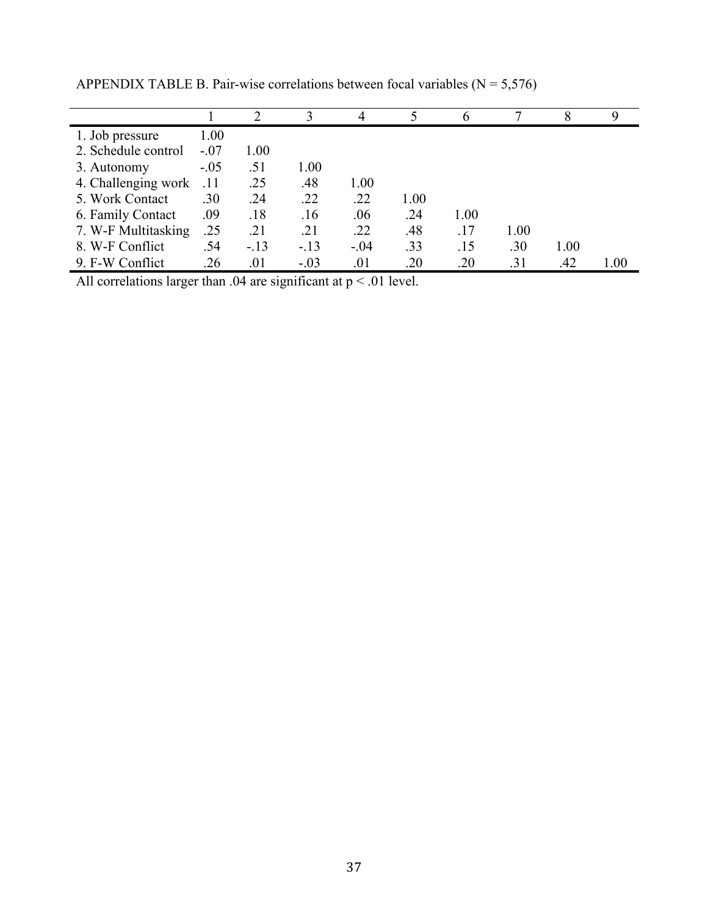|                     |        | $\overline{2}$ |        |        |      | 6    | 7    | 8    |      |
|---------------------|--------|----------------|--------|--------|------|------|------|------|------|
| 1. Job pressure     | 1.00   |                |        |        |      |      |      |      |      |
| 2. Schedule control | $-.07$ | 1.00           |        |        |      |      |      |      |      |
| 3. Autonomy         | $-.05$ | .51            | 1.00   |        |      |      |      |      |      |
| 4. Challenging work | .11    | .25            | .48    | 1.00   |      |      |      |      |      |
| 5. Work Contact     | .30    | .24            | .22    | .22    | 1.00 |      |      |      |      |
| 6. Family Contact   | .09    | .18            | .16    | .06    | .24  | 1.00 |      |      |      |
| 7. W-F Multitasking | .25    | .21            | .21    | .22    | .48  | .17  | 1.00 |      |      |
| 8. W-F Conflict     | .54    | $-.13$         | $-.13$ | $-.04$ | .33  | .15  | .30  | 1.00 |      |
| 9. F-W Conflict     | .26    | .01            | $-.03$ | .01    | .20  | .20  | .31  | .42  | 1.00 |

APPENDIX TABLE B. Pair-wise correlations between focal variables  $(N = 5,576)$ 

All correlations larger than .04 are significant at p < .01 level.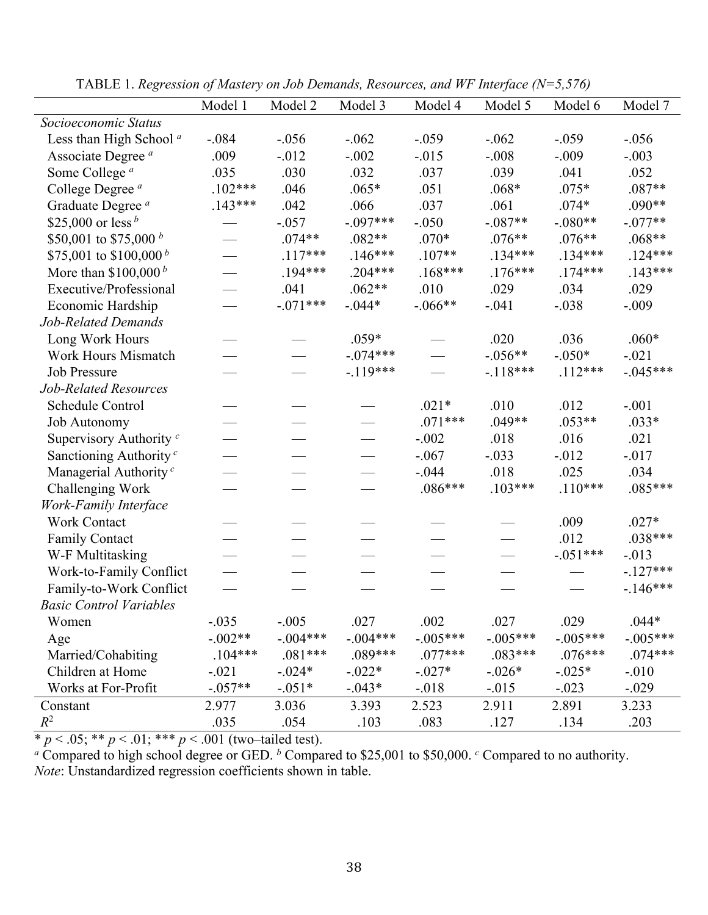|                                    | Model 1   | Model 2    | Model 3    | Model 4    | Model 5    | Model 6    | Model 7    |
|------------------------------------|-----------|------------|------------|------------|------------|------------|------------|
| Socioeconomic Status               |           |            |            |            |            |            |            |
| Less than High School <sup>a</sup> | $-.084$   | $-.056$    | $-.062$    | $-.059$    | $-.062$    | $-.059$    | $-.056$    |
| Associate Degree <sup>a</sup>      | .009      | $-.012$    | $-.002$    | $-.015$    | $-.008$    | $-.009$    | $-.003$    |
| Some College <sup>a</sup>          | .035      | .030       | .032       | .037       | .039       | .041       | .052       |
| College Degree <sup>a</sup>        | $.102***$ | .046       | $.065*$    | .051       | $.068*$    | $.075*$    | $.087**$   |
| Graduate Degree <sup>a</sup>       | $.143***$ | .042       | .066       | .037       | .061       | $.074*$    | $.090**$   |
| \$25,000 or less $^b$              |           | $-.057$    | $-.097***$ | $-.050$    | $-.087**$  | $-.080**$  | $-.077**$  |
| \$50,001 to \$75,000 $^b$          |           | $.074**$   | $.082**$   | $.070*$    | $.076**$   | $.076**$   | $.068**$   |
| \$75,001 to \$100,000 $^b$         |           | $.117***$  | $.146***$  | $.107**$   | $.134***$  | $.134***$  | $.124***$  |
| More than \$100,000 $^b$           |           | .194***    | $.204***$  | $.168***$  | $.176***$  | $.174***$  | $.143***$  |
| Executive/Professional             |           | .041       | $.062**$   | .010       | .029       | .034       | .029       |
| Economic Hardship                  |           | $-.071***$ | $-.044*$   | $-.066**$  | $-.041$    | $-.038$    | $-.009$    |
| Job-Related Demands                |           |            |            |            |            |            |            |
| Long Work Hours                    |           |            | $.059*$    |            | .020       | .036       | $.060*$    |
| Work Hours Mismatch                |           |            | $-.074***$ |            | $-.056**$  | $-.050*$   | $-.021$    |
| <b>Job Pressure</b>                |           |            | $-.119***$ |            | $-118***$  | $.112***$  | $-.045***$ |
| Job-Related Resources              |           |            |            |            |            |            |            |
| Schedule Control                   |           |            |            | $.021*$    | .010       | .012       | $-.001$    |
| Job Autonomy                       |           |            |            | $.071***$  | $.049**$   | $.053**$   | $.033*$    |
| Supervisory Authority <sup>c</sup> |           |            |            | $-.002$    | .018       | .016       | .021       |
| Sanctioning Authority <sup>c</sup> |           |            |            | $-.067$    | $-.033$    | $-0.012$   | $-.017$    |
| Managerial Authority <sup>c</sup>  |           |            |            | $-.044$    | .018       | .025       | .034       |
| Challenging Work                   |           |            |            | $.086***$  | $.103***$  | $.110***$  | $.085***$  |
| Work-Family Interface              |           |            |            |            |            |            |            |
| <b>Work Contact</b>                |           |            |            |            |            | .009       | $.027*$    |
| Family Contact                     |           |            |            |            |            | .012       | $.038***$  |
| W-F Multitasking                   |           |            |            |            |            | $-.051***$ | $-.013$    |
| Work-to-Family Conflict            |           |            |            |            |            |            | $-.127***$ |
| Family-to-Work Conflict            |           |            |            |            |            |            | $-.146***$ |
| <b>Basic Control Variables</b>     |           |            |            |            |            |            |            |
| Women                              | $-.035$   | $-.005$    | .027       | .002       | .027       | .029       | $.044*$    |
| Age                                | $-.002**$ | $-.004***$ | $-.004***$ | $-.005***$ | $-.005***$ | $-.005***$ | $-.005***$ |
| Married/Cohabiting                 | $.104***$ | $.081***$  | .089***    | $.077***$  | $.083***$  | $.076***$  | $.074***$  |
| Children at Home                   | $-.021$   | $-.024*$   | $-.022*$   | $-.027*$   | $-.026*$   | $-.025*$   | $-.010$    |
| Works at For-Profit                | $-.057**$ | $-.051*$   | $-.043*$   | $-.018$    | $-.015$    | $-.023$    | $-.029$    |
| Constant                           | 2.977     | 3.036      | 3.393      | 2.523      | 2.911      | 2.891      | 3.233      |
| $R^2$                              | .035      | .054       | .103       | .083       | .127       | .134       | .203       |

TABLE 1. *Regression of Mastery on Job Demands, Resources, and WF Interface (N=5,576)*

\* *p* < .05; \*\* *p* < .01; \*\*\* *p* < .001 (two–tailed test).

*<sup>a</sup>* Compared to high school degree or GED. *<sup>b</sup>* Compared to \$25,001 to \$50,000. *<sup>c</sup>* Compared to no authority. *Note*: Unstandardized regression coefficients shown in table.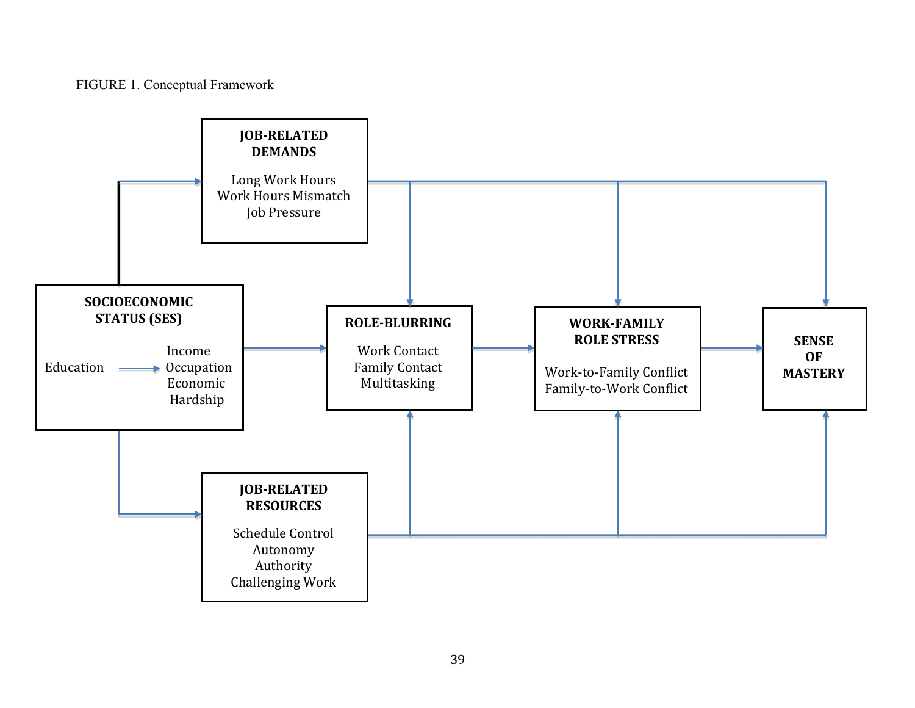FIGURE 1. Conceptual Framework

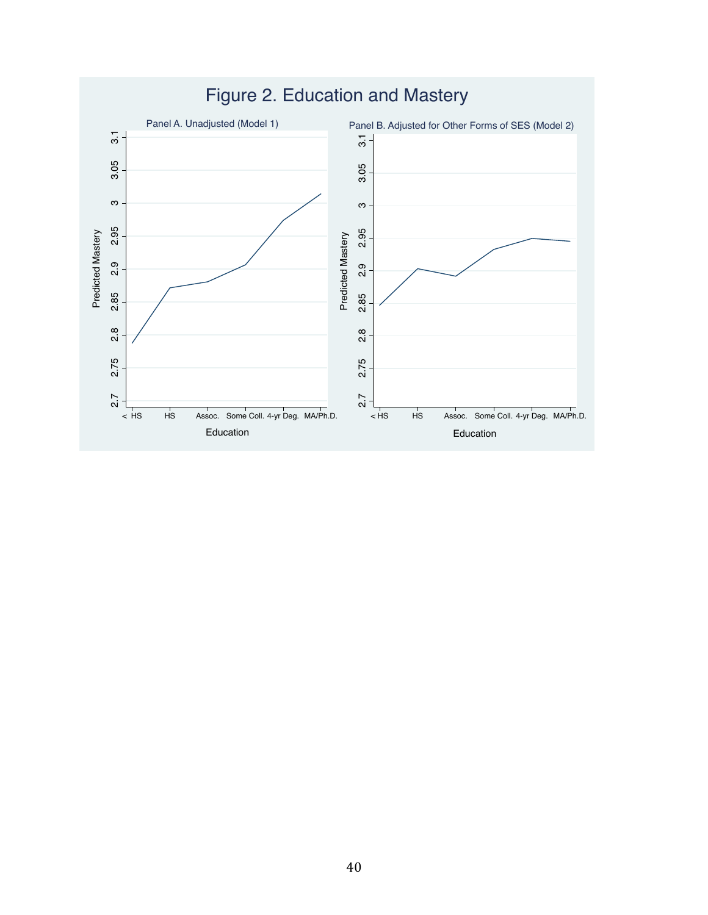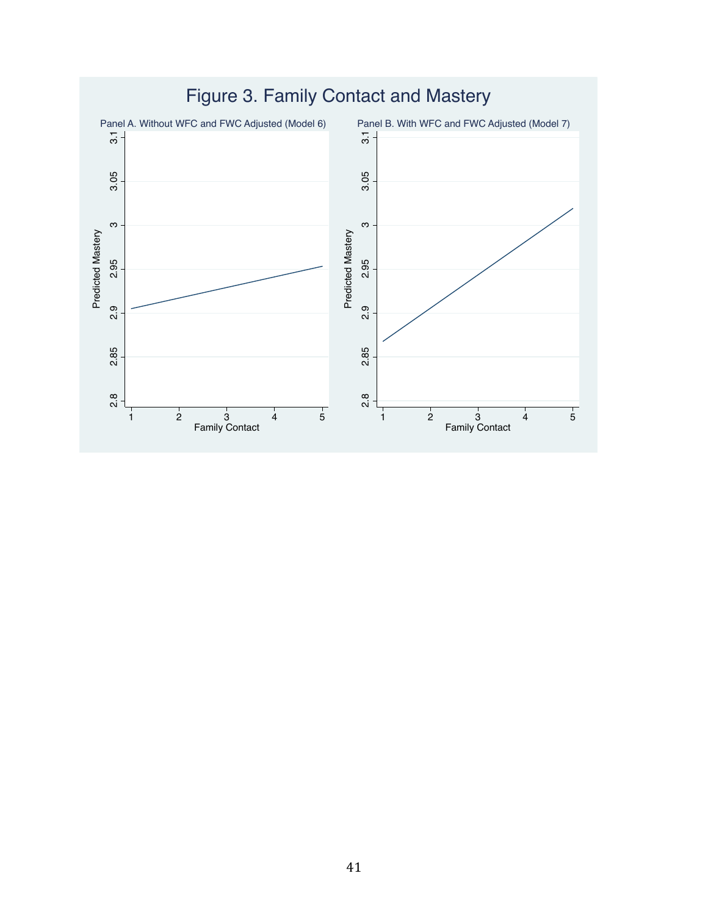